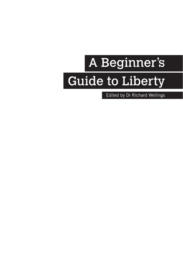# A Beginner's Guide to Liberty

Edited by Dr Richard Wellings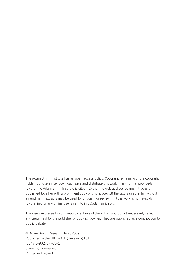The Adam Smith Institute has an open access policy. Copyright remains with the copyright holder, but users may download, save and distribute this work in any format provided: (1) that the Adam Smith Institute is cited; (2) that the web address adamsmith.org is published together with a prominent copy of this notice; (3) the text is used in full without amendment [extracts may be used for criticism or review]; (4) the work is not re–sold; (5) the link for any online use is sent to info@adamsmith.org.

The views expressed in this report are those of the author and do not necessarily reflect any views held by the publisher or copyright owner. They are published as a contribution to public debate.

© Adam Smith Research Trust 2009 Published in the UK by ASI (Research) Ltd. ISBN: 1–902737–65–2 Some rights reserved Printed in England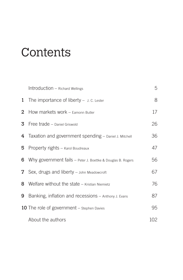# **Contents**

|    | Introduction - Richard Wellings                                        | 5   |
|----|------------------------------------------------------------------------|-----|
|    | <b>1</b> The importance of liberty $-$ J. C. Lester                    | 8   |
|    | 2 How markets work - Eamonn Butler                                     | 17  |
|    | 3 Free trade - Daniel Griswold                                         | 26  |
|    | 4 Taxation and government spending - Daniel J. Mitchell                | 36  |
| 5. | Property rights - Karol Boudreaux                                      | 47  |
|    | <b>6</b> Why government fails $-$ Peter J. Boettke & Douglas B. Rogers | 56  |
|    | 7 Sex, drugs and liberty - John Meadowcroft                            | 67  |
|    | 8 Welfare without the state $-$ Kristian Niemietz                      | 76  |
| 9  | Banking, inflation and recessions - Anthony J. Evans                   | 87  |
|    | <b>10</b> The role of government – Stephen Davies                      | 95  |
|    | About the authors                                                      | 102 |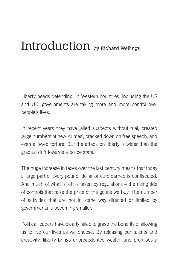## Introduction by Richard Wellings

Liberty needs defending. In Western countries, including the US and UK, governments are taking more and more control over people's lives.

In recent years they have jailed suspects without trial, created large numbers of new 'crimes', cracked down on free speech, and even allowed torture. But the attack on liberty is wider than the gradual drift towards a police state.

The huge increase in taxes over the last century means that today a large part of every pound, dollar or euro earned is confiscated. And much of what is left is taken by regulations – the rising tide of controls that raise the price of the goods we buy. The number of activities that are not in some way directed or limited by governments is becoming smaller.

Political leaders have clearly failed to grasp the benefits of allowing us to live our lives as we choose. By releasing our talents and creativity, liberty brings unprecedented wealth, and promises a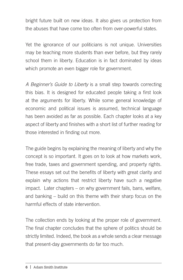bright future built on new ideas. It also gives us protection from the abuses that have come too often from over-powerful states.

Yet the ignorance of our politicians is not unique. Universities may be teaching more students than ever before, but they rarely school them in liberty. Education is in fact dominated by ideas which promote an even bigger role for government.

*A Beginner's Guide to Liberty* is a small step towards correcting this bias. It is designed for educated people taking a first look at the arguments for liberty. While some general knowledge of economic and political issues is assumed, technical language has been avoided as far as possible. Each chapter looks at a key aspect of liberty and finishes with a short list of further reading for those interested in finding out more.

The guide begins by explaining the meaning of liberty and why the concept is so important. It goes on to look at how markets work, free trade, taxes and government spending, and property rights. These essays set out the benefits of liberty with great clarity and explain why actions that restrict liberty have such a negative impact. Later chapters – on why government fails, bans, welfare, and banking – build on this theme with their sharp focus on the harmful effects of state intervention.

The collection ends by looking at the proper role of government. The final chapter concludes that the sphere of politics should be strictly limited. Indeed, the book as a whole sends a clear message that present-day governments do far too much.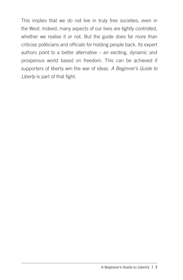This implies that we do not live in truly free societies, even in the West. Indeed, many aspects of our lives are tightly controlled, whether we realise it or not. But the guide does far more than criticise politicians and officials for holding people back. Its expert authors point to a better alternative – an exciting, dynamic and prosperous world based on freedom. This can be achieved if supporters of liberty win the war of ideas. *A Beginner's Guide to Liberty* is part of that fight.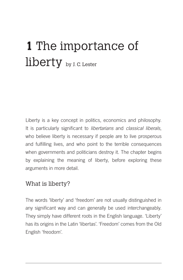# **1** The importance of liberty by J. C. Lester

Liberty is a key concept in politics, economics and philosophy. It is particularly significant to *libertarians* and *classical liberals*, who believe liberty is necessary if people are to live prosperous and fulfilling lives, and who point to the terrible consequences when governments and politicians destroy it. The chapter begins by explaining the meaning of liberty, before exploring these arguments in more detail.

#### What is liberty?

The words 'liberty' and 'freedom' are not usually distinguished in any significant way and can generally be used interchangeably. They simply have different roots in the English language. 'Liberty' has its origins in the Latin 'libertas'. 'Freedom' comes from the Old English 'freodom'.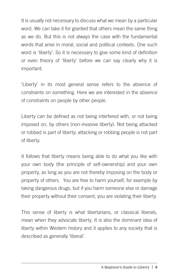It is usually not necessary to discuss what we mean by a particular word. We can take it for granted that others mean the same thing as we do. But this is not always the case with the fundamental words that arise in moral, social and political contexts. One such word is 'liberty'. So it is necessary to give some kind of definition or even theory of 'liberty' before we can say clearly why it is important.

'Liberty' in its most general sense refers to the absence of constraints on something. Here we are interested in the absence of constraints on people by other people.

Liberty can be defined as not being interfered with, or not being imposed on, by others (non-invasive liberty). Not being attacked or robbed is part of liberty; attacking or robbing people is not part of liberty.

It follows that liberty means being able to do what you like with your own body (the principle of self-ownership) and your own property, as long as you are not thereby imposing on the body or property of others. You are free to harm yourself, for example by taking dangerous drugs, but if you harm someone else or damage their property without their consent, you are violating their liberty.

This sense of liberty is what libertarians, or classical liberals, mean when they advocate liberty. It is also the dominant idea of liberty within Western history and it applies to any society that is described as generally 'liberal'.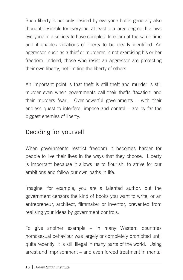Such liberty is not only desired by everyone but is generally also thought desirable for everyone, at least to a large degree. It allows everyone in a society to have complete freedom at the same time and it enables violations of liberty to be clearly identified. An aggressor, such as a thief or murderer, is not exercising his or her freedom. Indeed, those who resist an aggressor are protecting their own liberty, not limiting the liberty of others.

An important point is that theft is still theft and murder is still murder even when governments call their thefts 'taxation' and their murders 'war'. Over-powerful governments – with their endless quest to interfere, impose and control – are by far the biggest enemies of liberty.

### Deciding for yourself

When governments restrict freedom it becomes harder for people to live their lives in the ways that they choose. Liberty is important because it allows us to flourish, to strive for our ambitions and follow our own paths in life.

Imagine, for example, you are a talented author, but the government censors the kind of books you want to write; or an entrepreneur, architect, filmmaker or inventor, prevented from realising your ideas by government controls.

To give another example – in many Western countries homosexual behaviour was largely or completely prohibited until quite recently. It is still illegal in many parts of the world. Using arrest and imprisonment – and even forced treatment in mental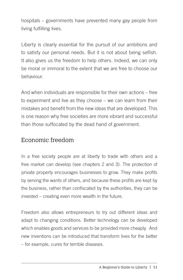hospitals – governments have prevented many gay people from living fulfilling lives.

Liberty is clearly essential for the pursuit of our ambitions and to satisfy our personal needs. But it is not about being selfish. It also gives us the freedom to help others. Indeed, we can only be moral or immoral to the extent that we are free to choose our behaviour.

And when individuals are responsible for their own actions – free to experiment and live as they choose – we can learn from their mistakes and benefit from the new ideas that are developed. This is one reason why free societies are more vibrant and successful than those suffocated by the dead hand of government.

#### Economic freedom

In a free society people are at liberty to trade with others and a free market can develop (see chapters 2 and 3). The protection of private property encourages businesses to grow. They make profits by serving the wants of others, and because these profits are kept by the business, rather than confiscated by the authorities, they can be invested – creating even more wealth in the future.

Freedom also allows entrepreneurs to try out different ideas and adapt to changing conditions. Better technology can be developed which enables goods and services to be provided more cheaply. And new inventions can be introduced that transform lives for the better – for example, cures for terrible diseases.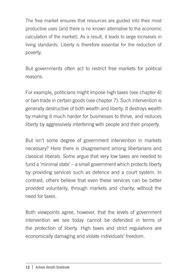The free market ensures that resources are guided into their most productive uses (and there is no known alternative to the economic calculation of the market). As a result, it leads to large increases in living standards. Liberty is therefore essential for the reduction of poverty.

But governments often act to restrict free markets for political reasons.

For example, politicians might impose high taxes (see chapter 4) or ban trade in certain goods (see chapter 7). Such intervention is generally destructive of both wealth and liberty. It destroys wealth by making it much harder for businesses to thrive, and reduces liberty by aggressively interfering with people and their property.

But isn't some degree of government intervention in markets necessary? Here there is disagreement among libertarians and classical liberals. Some argue that very low taxes are needed to fund a 'minimal state' – a small government which protects liberty by providing services such as defence and a court system. In contrast, others believe that even these services can be better provided voluntarily, through markets and charity, without the need for taxes.

Both viewpoints agree, however, that the levels of government intervention we see today cannot be defended in terms of the protection of liberty. High taxes and strict regulations are economically damaging and violate individuals' freedom.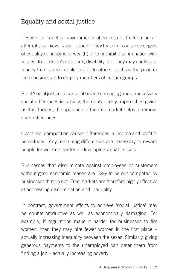## Equality and social justice

Despite its benefits, governments often restrict freedom in an attempt to achieve 'social justice'. They try to impose some degree of equality (of income or wealth) or to prohibit discrimination with respect to a person's race, sex, disability etc. They may confiscate money from some people to give to others, such as the poor, or force businesses to employ members of certain groups.

But if 'social justice' means not having damaging and unnecessary social differences in society, then only liberty approaches giving us this. Indeed, the operation of the free market helps to remove such differences.

Over time, competition causes differences in income and profit to be reduced. Any remaining differences are necessary to reward people for working harder or developing valuable skills.

Businesses that discriminate against employees or customers without good economic reason are likely to be out-competed by businesses that do not. Free markets are therefore highly effective at addressing discrimination and inequality.

In contrast, government efforts to achieve 'social justice' may be counterproductive as well as economically damaging. For example, if regulations make it harder for businesses to fire women, then they may hire fewer women in the first place – actually increasing inequality between the sexes. Similarly, giving generous payments to the unemployed can deter them from finding a job – actually increasing poverty.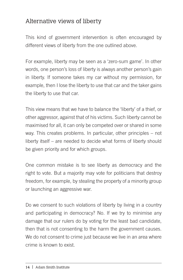### Alternative views of liberty

This kind of government intervention is often encouraged by different views of liberty from the one outlined above.

For example, liberty may be seen as a 'zero-sum game'. In other words, one person's loss of liberty is always another person's gain in liberty. If someone takes my car without my permission, for example, then I lose the liberty to use that car and the taker gains the liberty to use that car.

This view means that we have to balance the 'liberty' of a thief, or other aggressor, against that of his victims. Such liberty cannot be maximised for all, it can only be competed over or shared in some way. This creates problems. In particular, other principles – not liberty itself – are needed to decide what forms of liberty should be given priority and for which groups.

One common mistake is to see liberty as democracy and the right to vote. But a majority may vote for politicians that destroy freedom, for example, by stealing the property of a minority group or launching an aggressive war.

Do we consent to such violations of liberty by living in a country and participating in democracy? No. If we try to minimise any damage that our rulers do by voting for the least bad candidate, then that is not consenting to the harm the government causes. We do not consent to crime just because we live in an area where crime is known to exist.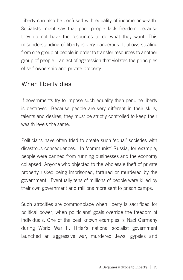Liberty can also be confused with equality of income or wealth. Socialists might say that poor people lack freedom because they do not have the resources to do what they want. This misunderstanding of liberty is very dangerous. It allows stealing from one group of people in order to transfer resources to another group of people – an act of aggression that violates the principles of self-ownership and private property.

#### When liberty dies

If governments try to impose such equality then genuine liberty is destroyed. Because people are very different in their skills, talents and desires, they must be strictly controlled to keep their wealth levels the same.

Politicians have often tried to create such 'equal' societies with disastrous consequences. In 'communist' Russia, for example, people were banned from running businesses and the economy collapsed. Anyone who objected to the wholesale theft of private property risked being imprisoned, tortured or murdered by the government. Eventually tens of millions of people were killed by their own government and millions more sent to prison camps.

Such atrocities are commonplace when liberty is sacrificed for political power; when politicians' goals override the freedom of individuals. One of the best known examples is Nazi Germany during World War II. Hitler's national socialist government launched an aggressive war, murdered Jews, gypsies and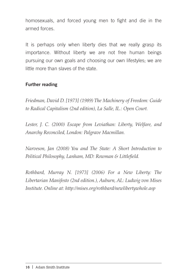homosexuals, and forced young men to fight and die in the armed forces.

It is perhaps only when liberty dies that we really grasp its importance. Without liberty we are not free human beings pursuing our own goals and choosing our own lifestyles; we are little more than slaves of the state.

#### Further reading

*Friedman, David D. [1973] (1989) The Machinery of Freedom: Guide to Radical Capitalism (2nd edition), La Salle, IL.: Open Court.*

*Lester, J. C. (2000) Escape from Leviathan: Liberty, Welfare, and Anarchy Reconciled, London: Palgrave Macmillan.*

*Narveson, Jan (2008) You and The State: A Short Introduction to Political Philosophy, Lanham, MD: Rowman & Littlefield.*

*Rothbard, Murray N. [1973] (2006) For a New Liberty: The Libertarian Manifesto (2nd edition.), Auburn, AL: Ludwig von Mises Institute. Online at: http://mises.org/rothbard/newlibertywhole.asp*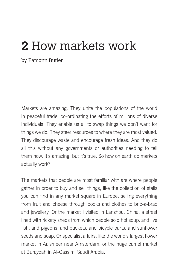# **2** How markets work

by Eamonn Butler

Markets are amazing. They unite the populations of the world in peaceful trade, co-ordinating the efforts of millions of diverse individuals. They enable us all to swap things we don't want for things we do. They steer resources to where they are most valued. They discourage waste and encourage fresh ideas. And they do all this without any governments or authorities needing to tell them how. It's amazing, but it's true. So how on earth do markets actually work?

The markets that people are most familiar with are where people gather in order to buy and sell things, like the collection of stalls you can find in any market square in Europe, selling everything from fruit and cheese through books and clothes to bric-a-brac and jewellery. Or the market I visited in Lanzhou, China, a street lined with rickety sheds from which people sold hot soup, and live fish, and pigeons, and buckets, and bicycle parts, and sunflower seeds and soap. Or specialist affairs, like the world's largest flower market in Aalsmeer near Amsterdam, or the huge camel market at Buraydah in Al-Qassim, Saudi Arabia.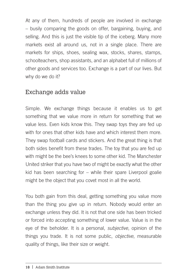At any of them, hundreds of people are involved in exchange – busily comparing the goods on offer, bargaining, buying, and selling. And this is just the visible tip of the iceberg. Many more markets exist all around us, not in a single place. There are markets for ships, shoes, sealing wax, stocks, shares, stamps, schoolteachers, shop assistants, and an alphabet full of millions of other goods and services too. Exchange is a part of our lives. But why do we do it?

#### Exchange adds value

Simple. We exchange things because it enables us to get something that we value more in return for something that we value less. Even kids know this. They swap toys they are fed up with for ones that other kids have and which interest them more. They swap football cards and stickers. And the great thing is that both sides benefit from these trades. The toy that you are fed up with might be the bee's knees to some other kid. The Manchester United striker that you have two of might be exactly what the other kid has been searching for – while their spare Liverpool goalie might be the object that you covet most in all the world.

You both gain from this deal, getting something you value more than the thing you give up in return. Nobody would enter an exchange unless they did. It is not that one side has been tricked or forced into accepting something of lower value. Value is in the eye of the beholder. It is a personal, *subjective*, opinion of the things you trade. It is not some public, *objective*, measurable quality of things, like their size or weight.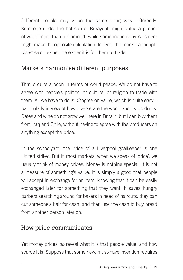Different people may value the same thing very differently. Someone under the hot sun of Buraydah might value a pitcher of water more than a diamond, while someone in rainy Aalsmeer might make the opposite calculation. Indeed, the more that people *disagree* on value, the easier it is for them to trade.

#### Markets harmonise different purposes

That is quite a boon in terms of world peace. We do not have to agree with people's politics, or culture, or religion to trade with them. All we have to do is *dis*agree on value, which is quite easy – particularly in view of how diverse are the world and its products. Dates and wine do not grow well here in Britain, but I can buy them from Iraq and Chile, without having to agree with the producers on anything except the price.

In the schoolyard, the price of a Liverpool goalkeeper is one United striker. But in most markets, when we speak of 'price', we usually think of money prices. Money is nothing special. It is not a measure of something's value. It is simply a good that people will accept in exchange for an item, knowing that it can be easily exchanged later for something that they want. It saves hungry barbers searching around for bakers in need of haircuts: they can cut someone's hair for cash, and then use the cash to buy bread from another person later on.

#### How price communicates

Yet money prices *do* reveal what it is that people value, and how scarce it is. Suppose that some new, must-have invention requires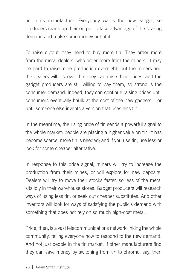tin in its manufacture. Everybody wants the new gadget, so producers crank up their output to take advantage of the soaring demand and make some money out of it.

To raise output, they need to buy more tin. They order more from the metal dealers, who order more from the miners. It may be hard to raise mine production overnight, but the miners and the dealers will discover that they can raise their prices, and the gadget producers are still willing to pay them, so strong is the consumer demand. Indeed, they can continue raising prices until consumers eventually baulk at the cost of the new gadgets – or until someone else invents a version that uses less tin.

In the meantime, the rising price of tin sends a powerful signal to the whole market: people are placing a higher value on tin; it has become scarce; more tin is needed; and if you use tin, use less or look for some cheaper alternative.

In response to this price signal, miners will try to increase the production from their mines, or will explore for new deposits. Dealers will try to move their stocks faster, so less of the metal sits idly in their warehouse stores. Gadget producers will research ways of using less tin, or seek out cheaper substitutes. And other inventors will look for ways of satisfying the public's demand with something that does not rely on so much high-cost metal.

Price, then, is a vast telecommunications network linking the whole community, telling everyone how to respond to the new demand. And not just people in the tin market. If other manufacturers find they can save money by switching from tin to chrome, say, then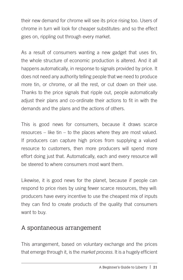their new demand for chrome will see its price rising too. Users of chrome in turn will look for cheaper substitutes: and so the effect goes on, rippling out through every market.

As a result of consumers wanting a new gadget that uses tin, the whole structure of economic production is altered. And it all happens automatically, in response to signals provided by price. It does not need any authority telling people that we need to produce more tin, or chrome, or all the rest, or cut down on their use. Thanks to the price signals that ripple out, people automatically adjust their plans and co-ordinate their actions to fit in with the demands and the plans and the actions of others.

This is good news for consumers, because it draws scarce resources – like tin – to the places where they are most valued. If producers can capture high prices from supplying a valued resource to customers, then more producers will spend more effort doing just that. Automatically, each and every resource will be steered to where consumers most want them.

Likewise, it is good news for the planet, because if people can respond to price rises by using fewer scarce resources, they will: producers have every incentive to use the cheapest mix of inputs they can find to create products of the quality that consumers want to buy.

#### A spontaneous arrangement

This arrangement, based on voluntary exchange and the prices that emerge through it, is the *market process*. It is a hugely efficient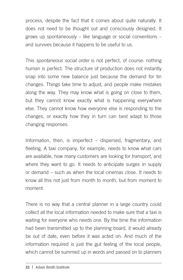process, despite the fact that it comes about quite naturally. It does not need to be thought out and consciously designed. It grows up spontaneously – like language or social conventions – and survives because it happens to be useful to us.

This *spontaneous social order* is not perfect, of course: nothing human is perfect. The structure of production does not instantly snap into some new balance just because the demand for tin changes. Things take time to adjust, and people make mistakes along the way. They may know what is going on close to them, but they cannot know exactly what is happening everywhere else. They cannot know how everyone else is responding to the changes, or exactly how they in turn can best adapt to those changing responses.

Information, then, is imperfect – dispersed, fragmentary, and fleeting. A taxi company, for example, needs to know what cars are available, how many customers are looking for transport, and where they want to go. It needs to anticipate surges in supply or demand – such as when the local cinemas close. It needs to know all this not just from month to month, but from moment to moment.

There is no way that a central planner in a large country could collect all the local information needed to make sure that a taxi is waiting for everyone who needs one. By the time the information had been transmitted up to the planning board, it would already be out of date, even before it was acted on. And much of the information required is just the gut feeling of the local people, which cannot be summed up in words and passed on to planners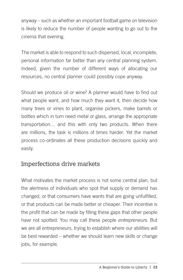anyway – such as whether an important football game on television is likely to reduce the number of people wanting to go out to the cinema that evening.

The market is able to respond to such dispersed, local, incomplete, personal information far better than any central planning system. Indeed, given the number of different ways of allocating our resources, no central planner could possibly cope anyway.

Should we produce oil or wine? A planner would have to find out what people want, and how much they want it, then decide how many trees or vines to plant, organise pickers, make barrels or bottles which in turn need metal or glass, arrange the appropriate transportation… and this with only two products. When there are millions, the task is millions of times harder. Yet the market process co-ordinates all these production decisions quickly and easily.

#### Imperfections drive markets

What motivates the market process is not some central plan, but the alertness of individuals who spot that supply or demand has changed, or that consumers have wants that are going unfulfilled, or that products can be made better or cheaper. Their incentive is the profit that can be made by filling these gaps that other people have not spotted. You may call these people *entrepreneurs*. But we are all entrepreneurs, trying to establish where our abilities will be best rewarded – whether we should learn new skills or change jobs, for example.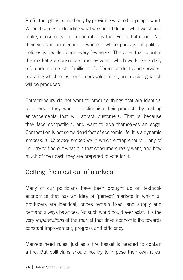Profit, though, is earned only by providing what other people want. When it comes to deciding what we should do and what we should make, consumers are in control. It is their votes that count. Not their votes in an election – where a whole package of political policies is decided once every few years. The votes that count in the market are consumers' money votes, which work like a daily referendum on each of millions of different products and services, revealing which ones consumers value most, and deciding which will be produced.

Entrepreneurs do not want to produce things that are identical to others – they want to distinguish their products by making enhancements that will attract customers. That is because they face competitors, and want to give themselves an edge. Competition is not some dead fact of economic life: it is a dynamic *process*, a *discovery procedure* in which entrepreneurs – any of us – try to find out what it is that consumers really want, and how much of their cash they are prepared to vote for it.

### Getting the most out of markets

Many of our politicians have been brought up on textbook economics that has an idea of 'perfect' markets in which all producers are identical, prices remain fixed, and supply and demand always balances. No such world could ever exist. It is the very *imperfections* of the market that drive economic life towards constant improvement, progress and efficiency.

Markets need rules, just as a fire basket is needed to contain a fire. But politicians should not try to impose their own rules,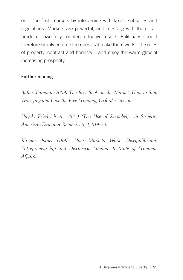or to 'perfect' markets by intervening with taxes, subsidies and regulations. Markets are powerful, and messing with them can produce powerfully counterproductive results. Politicians should therefore simply enforce the rules that make them work – the rules of property, contract and honesty – and enjoy the warm glow of increasing prosperity.

#### Further reading

*Butler, Eamonn (2009) The Best Book on the Market: How to Stop Worrying and Love the Free Economy, Oxford: Capstone.*

*Hayek, Friedrich A. (1945) 'The Use of Knowledge in Society', American Economic Review, 35, 4, 519-30.*

*Kirzner, Israel (1997) How Markets Work: Disequilibrium, Entrepreneurship and Discovery, London: Institute of Economic Affairs.*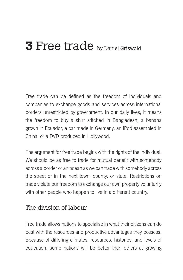# **3** Free trade by Daniel Griswold

Free trade can be defined as the freedom of individuals and companies to exchange goods and services across international borders unrestricted by government. In our daily lives, it means the freedom to buy a shirt stitched in Bangladesh, a banana grown in Ecuador, a car made in Germany, an iPod assembled in China, or a DVD produced in Hollywood.

The argument for free trade begins with the rights of the individual. We should be as free to trade for mutual benefit with somebody across a border or an ocean as we can trade with somebody across the street or in the next town, county, or state. Restrictions on trade violate our freedom to exchange our own property voluntarily with other people who happen to live in a different country.

#### The division of labour

Free trade allows nations to specialise in what their citizens can do best with the resources and productive advantages they possess. Because of differing climates, resources, histories, and levels of education, some nations will be better than others at growing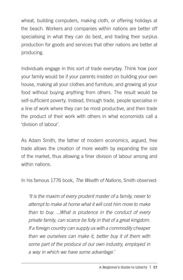wheat, building computers, making cloth, or offering holidays at the beach. Workers and companies within nations are better off specialising in what they can do best, and trading their surplus production for goods and services that other nations are better at producing.

Individuals engage in this sort of trade everyday. Think how poor your family would be if your parents insisted on building your own house, making all your clothes and furniture, and growing all your food without buying anything from others. The result would be self-sufficient poverty. Instead, through trade, people specialise in a line of work where they can be most productive, and then trade the product of their work with others in what economists call a 'division of labour'.

As Adam Smith, the father of modern economics, argued, free trade allows the creation of more wealth by expanding the size of the market, thus allowing a finer division of labour among and within nations.

In his famous 1776 book, *The Wealth of Nations*, Smith observed:

*'It is the maxim of every prudent master of a family, never to attempt to make at home what it will cost him more to make than to buy. ...What is prudence in the conduct of every private family, can scarce be folly in that of a great kingdom. If a foreign country can supply us with a commodity cheaper than we ourselves can make it, better buy it of them with some part of the produce of our own industry, employed in a way in which we have some advantage.'*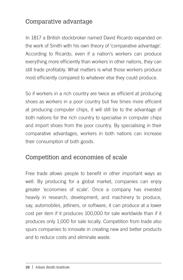## Comparative advantage

In 1817 a British stockbroker named David Ricardo expanded on the work of Smith with his own theory of 'comparative advantage'. According to Ricardo, even if a nation's workers can produce everything more efficiently than workers in other nations, they can still trade profitably. What matters is what those workers produce most efficiently compared to whatever else they could produce.

So if workers in a rich country are twice as efficient at producing shoes as workers in a poor country but five times more efficient at producing computer chips, it will still be to the advantage of both nations for the rich country to specialise in computer chips and import shoes from the poor country. By specialising in their comparative advantages, workers in both nations can increase their consumption of both goods.

#### Competition and economies of scale

Free trade allows people to benefit in other important ways as well. By producing for a global market, companies can enjoy greater 'economies of scale'. Once a company has invested heavily in research, development, and machinery to produce, say, automobiles, jetliners, or software, it can produce at a lower cost per item if it produces 100,000 for sale worldwide than if it produces only 1,000 for sale locally. Competition from trade also spurs companies to innovate in creating new and better products and to reduce costs and eliminate waste.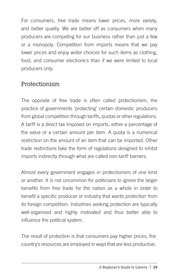For consumers, free trade means lower prices, more variety, and better quality. We are better off as consumers when many producers are competing for our business rather than just a few or a monopoly. Competition from imports means that we pay lower prices and enjoy wider choices for such items as clothing, food, and consumer electronics than if we were limited to local producers only.

#### Protectionism

The opposite of free trade is often called protectionism, the practice of governments 'protecting' certain domestic producers from global competition through tariffs, quotas or other regulations. A tariff is a direct tax imposed on imports, either a percentage of the value or a certain amount per item. A quota is a numerical restriction on the amount of an item that can be imported. Other trade restrictions take the form of regulations designed to inhibit imports indirectly through what are called non-tariff barriers.

Almost every government engages in protectionism of one kind or another. It is not uncommon for politicians to ignore the larger benefits from free trade for the nation as a whole in order to benefit a specific producer or industry that wants protection from its foreign competition. Industries seeking protection are typically well-organised and highly motivated and thus better able to influence the political system.

The result of protection is that consumers pay higher prices, the country's resources are employed in ways that are less productive,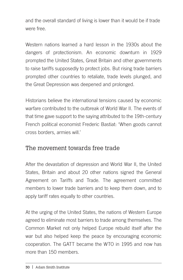and the overall standard of living is lower than it would be if trade were free.

Western nations learned a hard lesson in the 1930s about the dangers of protectionism. An economic downturn in 1929 prompted the United States, Great Britain and other governments to raise tariffs supposedly to protect jobs. But rising trade barriers prompted other countries to retaliate, trade levels plunged, and the Great Depression was deepened and prolonged.

Historians believe the international tensions caused by economic warfare contributed to the outbreak of World War II. The events of that time gave support to the saying attributed to the 19th-century French political economist Frederic Bastiat: 'When goods cannot cross borders, armies will.'

#### The movement towards free trade

After the devastation of depression and World War II, the United States, Britain and about 20 other nations signed the General Agreement on Tariffs and Trade. The agreement committed members to lower trade barriers and to keep them down, and to apply tariff rates equally to other countries.

At the urging of the United States, the nations of Western Europe agreed to eliminate most barriers to trade among themselves. The Common Market not only helped Europe rebuild itself after the war but also helped keep the peace by encouraging economic cooperation. The GATT became the WTO in 1995 and now has more than 150 members.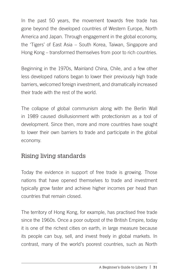In the past 50 years, the movement towards free trade has gone beyond the developed countries of Western Europe, North America and Japan. Through engagement in the global economy, the 'Tigers' of East Asia – South Korea, Taiwan, Singapore and Hong Kong – transformed themselves from poor to rich countries.

Beginning in the 1970s, Mainland China, Chile, and a few other less developed nations began to lower their previously high trade barriers, welcomed foreign investment, and dramatically increased their trade with the rest of the world.

The collapse of global communism along with the Berlin Wall in 1989 caused disillusionment with protectionism as a tool of development. Since then, more and more countries have sought to lower their own barriers to trade and participate in the global economy.

## Rising living standards

Today the evidence in support of free trade is growing. Those nations that have opened themselves to trade and investment typically grow faster and achieve higher incomes per head than countries that remain closed.

The territory of Hong Kong, for example, has practised free trade since the 1960s. Once a poor outpost of the British Empire, today it is one of the richest cities on earth, in large measure because its people can buy, sell, and invest freely in global markets. In contrast, many of the world's poorest countries, such as North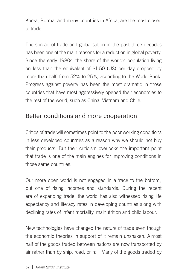Korea, Burma, and many countries in Africa, are the most closed to trade.

The spread of trade and globalisation in the past three decades has been one of the main reasons for a reduction in global poverty. Since the early 1980s, the share of the world's population living on less than the equivalent of \$1.50 (US) per day dropped by more than half, from 52% to 25%, according to the World Bank. Progress against poverty has been the most dramatic in those countries that have most aggressively opened their economies to the rest of the world, such as China, Vietnam and Chile.

### Better conditions and more cooperation

Critics of trade will sometimes point to the poor working conditions in less developed countries as a reason why we should not buy their products. But their criticism overlooks the important point that trade is one of the main engines for improving conditions in those same countries.

Our more open world is not engaged in a 'race to the bottom', but one of rising incomes and standards. During the recent era of expanding trade, the world has also witnessed rising life expectancy and literacy rates in developing countries along with declining rates of infant mortality, malnutrition and child labour.

New technologies have changed the nature of trade even though the economic theories in support of it remain unshaken. Almost half of the goods traded between nations are now transported by air rather than by ship, road, or rail. Many of the goods traded by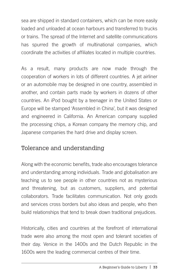sea are shipped in standard containers, which can be more easily loaded and unloaded at ocean harbours and transferred to trucks or trains. The spread of the Internet and satellite communications has spurred the growth of multinational companies, which coordinate the activities of affiliates located in multiple countries.

As a result, many products are now made through the cooperation of workers in lots of different countries. A jet airliner or an automobile may be designed in one country, assembled in another, and contain parts made by workers in dozens of other countries. An iPod bought by a teenager in the United States or Europe will be stamped 'Assembled in China', but it was designed and engineered in California. An American company supplied the processing chips, a Korean company the memory chip, and Japanese companies the hard drive and display screen.

#### Tolerance and understanding

Along with the economic benefits, trade also encourages tolerance and understanding among individuals. Trade and globalisation are teaching us to see people in other countries not as mysterious and threatening, but as customers, suppliers, and potential collaborators. Trade facilitates communication. Not only goods and services cross borders but also ideas and people, who then build relationships that tend to break down traditional prejudices.

Historically, cities and countries at the forefront of international trade were also among the most open and tolerant societies of their day. Venice in the 1400s and the Dutch Republic in the 1600s were the leading commercial centres of their time.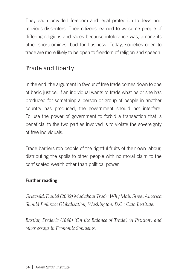They each provided freedom and legal protection to Jews and religious dissenters. Their citizens learned to welcome people of differing religions and races because intolerance was, among its other shortcomings, bad for business. Today, societies open to trade are more likely to be open to freedom of religion and speech.

## Trade and liberty

In the end, the argument in favour of free trade comes down to one of basic justice. If an individual wants to trade what he or she has produced for something a person or group of people in another country has produced, the government should not interfere. To use the power of government to forbid a transaction that is beneficial to the two parties involved is to violate the sovereignty of free individuals.

Trade barriers rob people of the rightful fruits of their own labour, distributing the spoils to other people with no moral claim to the confiscated wealth other than political power.

#### Further reading

*Griswold, Daniel (2009) Mad about Trade: Why Main Street America Should Embrace Globalization, Washington, D.C.: Cato Institute.*

*Bastiat, Frederic (1848) 'On the Balance of Trade', 'A Petition', and other essays in Economic Sophisms.*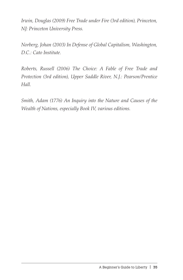*Irwin, Douglas (2009) Free Trade under Fire (3rd edition), Princeton, NJ: Princeton University Press.*

*Norberg, Johan (2003) In Defense of Global Capitalism, Washington, D.C.: Cato Institute.*

*Roberts, Russell (2006) The Choice: A Fable of Free Trade and Protection (3rd edition), Upper Saddle River, N.J.: Pearson/Prentice Hall.*

*Smith, Adam (1776) An Inquiry into the Nature and Causes of the Wealth of Nations, especially Book IV, various editions.*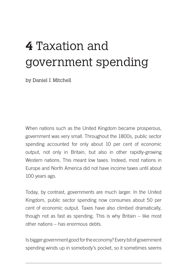# **4** Taxation and government spending

by Daniel J. Mitchell

When nations such as the United Kingdom became prosperous, government was very small. Throughout the 1800s, public sector spending accounted for only about 10 per cent of economic output, not only in Britain, but also in other rapidly-growing Western nations. This meant low taxes. Indeed, most nations in Europe and North America did not have income taxes until about 100 years ago.

Today, by contrast, governments are much larger. In the United Kingdom, public sector spending now consumes about 50 per cent of economic output. Taxes have also climbed dramatically, though not as fast as spending. This is why Britain – like most other nations – has enormous debts.

Is bigger government good for the economy? Every bit of government spending winds up in somebody's pocket, so it sometimes seems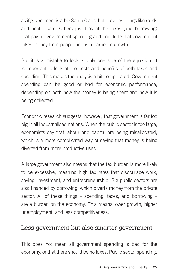as if government is a big Santa Claus that provides things like roads and health care. Others just look at the taxes (and borrowing) that pay for government spending and conclude that government takes money from people and is a barrier to growth.

But it is a mistake to look at only one side of the equation. It is important to look at the costs and benefits of both taxes and spending. This makes the analysis a bit complicated. Government spending can be good or bad for economic performance, depending on both how the money is being spent and how it is being collected.

Economic research suggests, however, that government is far too big in all industrialised nations. When the public sector is too large, economists say that labour and capital are being misallocated, which is a more complicated way of saying that money is being diverted from more productive uses.

A large government also means that the tax burden is more likely to be excessive, meaning high tax rates that discourage work, saving, investment, and entrepreneurship. Big public sectors are also financed by borrowing, which diverts money from the private sector. All of these things – spending, taxes, and borrowing – are a burden on the economy. This means lower growth, higher unemployment, and less competitiveness.

#### Less government but also smarter government

This does not mean all government spending is bad for the economy, or that there should be no taxes. Public sector spending,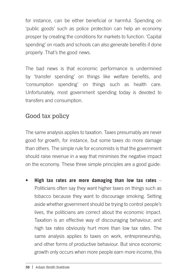for instance, can be either beneficial or harmful. Spending on 'public goods' such as police protection can help an economy prosper by creating the conditions for markets to function. 'Capital spending' on roads and schools can also generate benefits if done properly. That's the good news.

The bad news is that economic performance is undermined by 'transfer spending' on things like welfare benefits, and 'consumption spending' on things such as health care. Unfortunately, most government spending today is devoted to transfers and consumption.

# Good tax policy

The same analysis applies to taxation. Taxes presumably are never good for growth, for instance, but some taxes do more damage than others. The simple rule for economists is that the government should raise revenue in a way that minimises the negative impact on the economy. These three simple principles are a good guide:

High tax rates are more damaging than low tax rates – Politicians often say they want higher taxes on things such as tobacco because they want to discourage smoking. Setting aside whether government should be trying to control people's lives, the politicians are correct about the economic impact. Taxation is an effective way of discouraging behaviour, and high tax rates obviously hurt more than low tax rates. The same analysis applies to taxes on work, entrepreneurship, and other forms of productive behaviour. But since economic growth only occurs when more people earn more income, this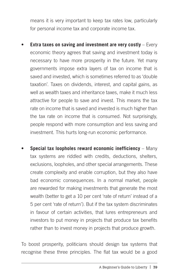means it is very important to keep tax rates low, particularly for personal income tax and corporate income tax.

- **Extra taxes on saving and investment are very costly** Every economic theory agrees that saving and investment today is necessary to have more prosperity in the future. Yet many governments impose extra layers of tax on income that is saved and invested, which is sometimes referred to as 'double taxation'. Taxes on dividends, interest, and capital gains, as well as wealth taxes and inheritance taxes, make it much less attractive for people to save and invest. This means the tax rate on income that is saved and invested is much higher than the tax rate on income that is consumed. Not surprisingly, people respond with more consumption and less saving and investment. This hurts long-run economic performance.
- **Special tax loopholes reward economic inefficiency** Many tax systems are riddled with credits, deductions, shelters, exclusions, loopholes, and other special arrangements. These create complexity and enable corruption, but they also have bad economic consequences. In a normal market, people are rewarded for making investments that generate the most wealth (better to get a 10 per cent 'rate of return' instead of a 5 per cent 'rate of return'). But if the tax system discriminates in favour of certain activities, that lures entrepreneurs and investors to put money in projects that produce tax benefits rather than to invest money in projects that produce growth.

To boost prosperity, politicians should design tax systems that recognise these three principles. The flat tax would be a good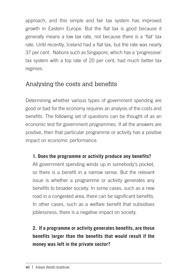approach, and this simple and fair tax system has improved growth in Eastern Europe. But the flat tax is good because it generally means a low tax rate, not because there is a 'flat' tax rate. Until recently, Iceland had a flat tax, but the rate was nearly 37 per cent. Nations such as Singapore, which has a 'progressive' tax system with a top rate of 20 per cent, had much better tax regimes.

# Analysing the costs and benefits

Determining whether various types of government spending are good or bad for the economy requires an analysis of the costs and benefits. The following set of questions can be thought of as an economic test for government programmes. If all the answers are positive, then that particular programme or activity has a positive impact on economic performance.

#### **1. Does the programme or activity produce any benefits?**

All government spending winds up in somebody's pocket, so there is a benefit in a narrow sense. But the relevant issue is whether a programme or activity generates any benefits to broader society. In some cases, such as a new road in a congested area, there can be significant benefits. In other cases, such as a welfare benefit that subsidises joblessness, there is a negative impact on society.

## **2. If a programme or activity generates benefits, are those benefits larger than the benefits that would result if the money was left in the private sector?**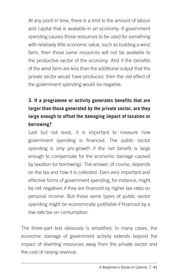At any point in time, there is a limit to the amount of labour and capital that is available in an economy. If government spending causes those resources to be used for something with relatively little economic value, such as building a wind farm, then those same resources will not be available to the productive sector of the economy. And if the benefits of the wind farm are less than the additional output that the private sector would have produced, then the *net* effect of the government spending would be negative.

## **3. If a programme or activity generates benefits that are larger than those generated by the private sector, are they large enough to offset the damaging impact of taxation or borrowing?**

Last but not least, it is important to measure how government spending is financed. The public sector spending is only pro-growth if the *net* benefit is large enough to compensate for the economic damage caused by taxation (or borrowing). The answer, of course, depends on the tax and how it is collected. Even very important and effective forms of government spending, for instance, might be net negatives if they are financed by higher tax rates on personal income. But those same types of public sector spending might be economically justifiable if financed by a low-rate tax on consumption.

The three-part test obviously is simplified. In many cases, the economic damage of government activity extends beyond the impact of diverting resources away from the private sector and the cost of raising revenue.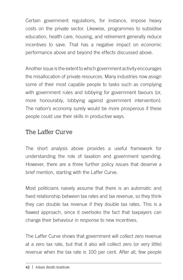Certain government regulations, for instance, impose heavy costs on the private sector. Likewise, programmes to subsidise education, health care, housing, and retirement generally reduce incentives to save. That has a negative impact on economic performance above and beyond the effects discussed above.

Another issue is the extent to which government activity encourages the misallocation of private resources. Many industries now assign some of their most capable people to tasks such as complying with government rules and lobbying for government favours (or, more honourably, lobbying against government intervention). The nation's economy surely would be more prosperous if these people could use their skills in productive ways.

## The Laffer Curve

The short analysis above provides a useful framework for understanding the role of taxation and government spending. However, there are a three further policy issues that deserve a brief mention, starting with the Laffer Curve.

Most politicians naively assume that there is an automatic and fixed relationship between tax rates and tax revenue, so they think they can double tax revenue if they double tax rates. This is a flawed approach, since it overlooks the fact that taxpayers can change their behaviour in response to new incentives.

The Laffer Curve shows that government will collect zero revenue at a zero tax rate, but that it also will collect zero (or very little) revenue when the tax rate is 100 per cent. After all, few people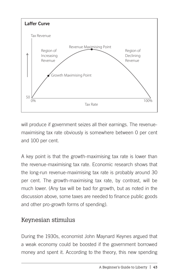

will produce if government seizes all their earnings. The revenuemaximising tax rate obviously is somewhere between 0 per cent and 100 per cent.

A key point is that the growth-maximising tax rate is lower than the revenue-maximising tax rate. Economic research shows that the long-run revenue-maximising tax rate is probably around 30 per cent. The growth-maximising tax rate, by contrast, will be much lower. (Any tax will be bad for growth, but as noted in the discussion above, some taxes are needed to finance public goods and other pro-growth forms of spending).

# Keynesian stimulus

During the 1930s, economist John Maynard Keynes argued that a weak economy could be boosted if the government borrowed money and spent it. According to the theory, this new spending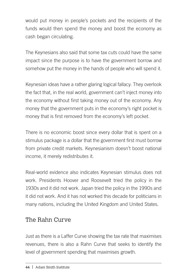would put money in people's pockets and the recipients of the funds would then spend the money and boost the economy as cash began circulating.

The Keynesians also said that some tax cuts could have the same impact since the purpose is to have the government borrow and somehow put the money in the hands of people who will spend it.

Keynesian ideas have a rather glaring logical fallacy. They overlook the fact that, in the real world, government can't inject money into the economy without first taking money out of the economy. Any money that the government puts in the economy's right pocket is money that is first removed from the economy's left pocket.

There is no economic boost since every dollar that is spent on a stimulus package is a dollar that the government first must borrow from private credit markets. Keynesianism doesn't boost national income, it merely redistributes it.

Real-world evidence also indicates Keynesian stimulus does not work. Presidents Hoover and Roosevelt tried the policy in the 1930s and it did not work. Japan tried the policy in the 1990s and it did not work. And it has not worked this decade for politicians in many nations, including the United Kingdom and United States.

# The Rahn Curve

Just as there is a Laffer Curve showing the tax rate that maximises revenues, there is also a Rahn Curve that seeks to identify the level of government spending that maximises growth.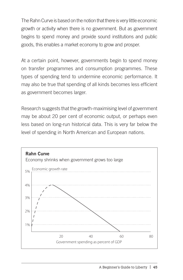The Rahn Curve is based on the notion that there is very little economic growth or activity when there is no government. But as government begins to spend money and provide sound institutions and public goods, this enables a market economy to grow and prosper.

At a certain point, however, governments begin to spend money on transfer programmes and consumption programmes. These types of spending tend to undermine economic performance. It may also be true that spending of all kinds becomes less efficient as government becomes larger.

Research suggests that the growth-maximising level of government may be about 20 per cent of economic output, or perhaps even less based on long-run historical data. This is very far below the level of spending in North American and European nations.

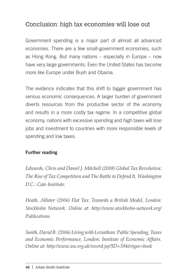# Conclusion: high tax economies will lose out

Government spending is a major part of almost all advanced economies. There are a few small-government economies, such as Hong Kong. But many nations – especially in Europe – now have very large governments. Even the United States has become more like Europe under Bush and Obama.

The evidence indicates that this shift to bigger government has serious economic consequences. A larger burden of government diverts resources from the productive sector of the economy and results in a more costly tax regime. In a competitive global economy, nations with excessive spending and high taxes will lose jobs and investment to countries with more responsible levels of spending and low taxes.

#### Further reading

*Edwards, Chris and Daniel J. Mitchell (2008) Global Tax Revolution: The Rise of Tax Competition and The Battle to Defend It, Washington D.C.: Cato Institute.*

*Heath, Allister (2006) Flat Tax: Towards a British Model, London: Stockholm Network. Online at: http://www.stockholm-network.org/ Publications*

*Smith, David B. (2006) Living with Leviathan: Public Spending, Taxes and Economic Performance, London: Institute of Economic Affairs. Online at: http://www.iea.org.uk/record.jsp?ID=394&type=book*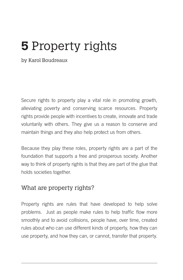# **5** Property rights

by Karol Boudreaux

Secure rights to property play a vital role in promoting growth, alleviating poverty and conserving scarce resources. Property rights provide people with incentives to create, innovate and trade voluntarily with others. They give us a reason to conserve and maintain things and they also help protect us from others.

Because they play these roles, property rights are a part of the foundation that supports a free and prosperous society. Another way to think of property rights is that they are part of the glue that holds societies together.

#### What are property rights?

Property rights are rules that have developed to help solve problems. Just as people make rules to help traffic flow more smoothly and to avoid collisions, people have, over time, created rules about who can use different kinds of property, how they can use property, and how they can, or cannot, transfer that property.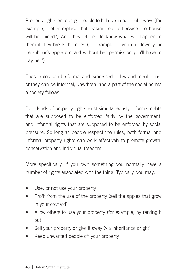Property rights encourage people to behave in particular ways (for example, 'better replace that leaking roof, otherwise the house will be ruined.') And they let people know what will happen to them if they break the rules (for example, 'if you cut down your neighbour's apple orchard without her permission you'll have to pay her.')

These rules can be formal and expressed in law and regulations, or they can be informal, unwritten, and a part of the social norms a society follows.

Both kinds of property rights exist simultaneously – formal rights that are supposed to be enforced fairly by the government, and informal rights that are supposed to be enforced by social pressure. So long as people respect the rules, both formal and informal property rights can work effectively to promote growth, conservation and individual freedom.

More specifically, if you own something you normally have a number of rights associated with the thing. Typically, you may:

- Use, or not use your property
- Profit from the use of the property (sell the apples that grow in your orchard)
- Allow others to use your property (for example, by renting it out)
- Sell your property or give it away (via inheritance or gift)
- Keep unwanted people off your property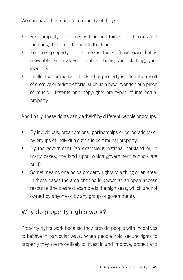We can have these rights in a variety of things:

- Real property this means land and things, like houses and factories, that are attached to the land.
- Personal property  $-$  this means the stuff we own that is moveable, such as your mobile phone, your clothing, your jewellery.
- Intellectual property  $-$  this kind of property is often the result of creative or artistic efforts, such as a new invention or a piece of music. Patents and copyrights are types of intellectual property.

And finally, these rights can be 'held' by different people or groups:

- By individuals, organisations (partnerships or corporations) or by groups of individuals (this is communal property)
- By the government (an example is national parkland or, in many cases, the land upon which government schools are built)
- Sometimes no one holds property rights to a thing or an area. In these cases the area or thing is known as an open-access resource (the clearest example is the high seas, which are not owned by anyone or by any group or government).

# Why do property rights work?

Property rights work because they provide people with incentives to behave in particular ways. When people hold secure rights to property they are more likely to invest in and improve, protect and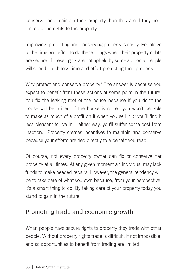conserve, and maintain their property than they are if they hold limited or no rights to the property.

Improving, protecting and conserving property is costly. People go to the time and effort to do these things when their property rights are secure. If these rights are not upheld by some authority, people will spend much less time and effort protecting their property.

Why protect and conserve property? The answer is because you expect to benefit from these actions at some point in the future. You fix the leaking roof of the house because if you don't the house will be ruined. If the house is ruined you won't be able to make as much of a profit on it when you sell it *or* you'll find it less pleasant to live in – either way, you'll suffer some cost from inaction. Property creates incentives to maintain and conserve because your efforts are tied directly to a benefit you reap.

Of course, not every property owner can fix or conserve her property at all times. At any given moment an individual may lack funds to make needed repairs. However, the general tendency will be to take care of what you own because, from your perspective, it's a smart thing to do. By taking care of your property today you stand to gain in the future.

# Promoting trade and economic growth

When people have secure rights to property they trade with other people. Without property rights trade is difficult, if not impossible, and so opportunities to benefit from trading are limited.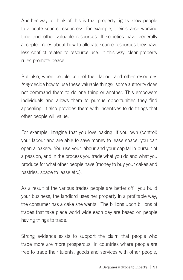Another way to think of this is that property rights allow people to allocate scarce resources: for example, their scarce working time and other valuable resources. If societies have generally accepted rules about how to allocate scarce resources they have less conflict related to resource use. In this way, clear property rules promote peace.

But also, when people control their labour and other resources *they* decide how to use these valuable things: some authority does not command them to do one thing or another. This empowers individuals and allows them to pursue opportunities they find appealing. It also provides them with incentives to do things that other people will value.

For example, imagine that you love baking. If you own (control) your labour and are able to save money to lease space, you can open a bakery. You use your labour and your capital in pursuit of a passion, and in the process you trade what you do and what you produce for what other people have (money to buy your cakes and pastries, space to lease etc.).

As a result of the various trades people are better off: you build your business, the landlord uses her property in a profitable way; the consumer has a cake she wants. The billions upon billions of trades that take place world wide each day are based on people having things to trade.

Strong evidence exists to support the claim that people who trade more are more prosperous. In countries where people are free to trade their talents, goods and services with other people,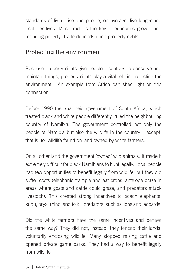standards of living rise and people, on average, live longer and healthier lives. More trade is the key to economic growth and reducing poverty. Trade depends upon property rights.

## Protecting the environment

Because property rights give people incentives to conserve and maintain things, property rights play a vital role in protecting the environment. An example from Africa can shed light on this connection.

Before 1990 the apartheid government of South Africa, which treated black and white people differently, ruled the neighbouring country of Namibia. The government controlled not only the people of Namibia but also the wildlife in the country – except, that is, for wildlife found on land owned by white farmers.

On all other land the government 'owned' wild animals. It made it extremely difficult for black Namibians to hunt legally. Local people had few opportunities to benefit legally from wildlife, but they did suffer costs (elephants trample and eat crops, antelope graze in areas where goats and cattle could graze, and predators attack livestock). This created strong incentives to poach elephants, kudu, oryx, rhino, and to kill predators, such as lions and leopards.

Did the white farmers have the same incentives and behave the same way? They did not; instead, they fenced their lands, voluntarily enclosing wildlife. Many stopped raising cattle and opened private game parks. They had a way to benefit legally from wildlife.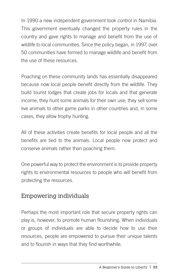In 1990 a new independent government took control in Namibia. This government eventually changed the property rules in the country and gave rights to manage and benefit from the use of wildlife to local communities. Since the policy began, in 1997, over 50 communities have formed to manage wildlife and benefit from the use of these resources.

Poaching on these community lands has essentially disappeared because now local people benefit directly from the wildlife. They build tourist lodges that create jobs for locals and that generate income; they hunt some animals for their own use; they sell some live animals to other game parks in other countries and, in some cases, they allow trophy hunting.

All of these activities create benefits for local people and all the benefits are tied to the animals. Local people now protect and conserve animals rather than poaching them.

One powerful way to protect the environment is to provide property rights to environmental resources to people who will benefit from protecting the resources.

## Empowering individuals

Perhaps the most important role that secure property rights can play is, however, to promote human flourishing. When individuals or groups of individuals are able to decide how to use their resources, people are empowered to pursue their unique talents and to flourish in ways that they find worthwhile.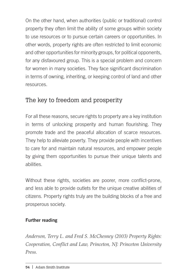On the other hand, when authorities (public or traditional) control property they often limit the ability of some groups within society to use resources or to pursue certain careers or opportunities. In other words, property rights are often restricted to limit economic and other opportunities for minority groups, for political opponents, for any disfavoured group. This is a special problem and concern for women in many societies. They face significant discrimination in terms of owning, inheriting, or keeping control of land and other resources.

# The key to freedom and prosperity

For all these reasons, secure rights to property are a key institution in terms of unlocking prosperity and human flourishing. They promote trade and the peaceful allocation of scarce resources. They help to alleviate poverty. They provide people with incentives to care for and maintain natural resources, and empower people by giving them opportunities to pursue their unique talents and abilities.

Without these rights, societies are poorer, more conflict-prone, and less able to provide outlets for the unique creative abilities of citizens. Property rights truly are the building blocks of a free and prosperous society.

#### Further reading

*Anderson, Terry L. and Fred S. McChesney (2003) Property Rights: Cooperation, Conflict and Law, Princeton, NJ: Princeton University Press.*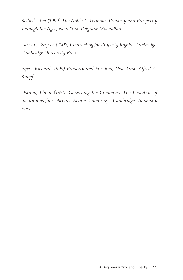*Bethell, Tom (1999) The Noblest Triumph: Property and Prosperity Through the Ages, New York: Palgrave Macmillan.* 

*Libecap, Gary D. (2008) Contracting for Property Rights, Cambridge: Cambridge University Press.*

*Pipes, Richard (1999) Property and Freedom, New York: Alfred A. Knopf.*

*Ostrom, Elinor (1990) Governing the Commons: The Evolution of Institutions for Collective Action, Cambridge: Cambridge University Press.*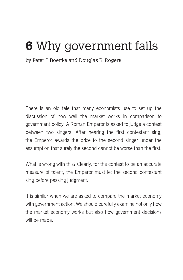# **6** Why government fails

by Peter J. Boettke and Douglas B. Rogers

There is an old tale that many economists use to set up the discussion of how well the market works in comparison to government policy. A Roman Emperor is asked to judge a contest between two singers. After hearing the first contestant sing, the Emperor awards the prize to the second singer under the assumption that surely the second cannot be worse than the first.

What is wrong with this? Clearly, for the contest to be an accurate measure of talent, the Emperor must let the second contestant sing before passing judgment.

It is similar when we are asked to compare the market economy with government action. We should carefully examine not only how the market economy works but also how government decisions will be made.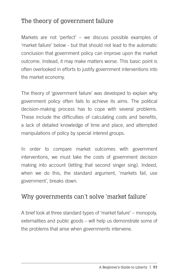# The theory of government failure

Markets are not 'perfect' – we discuss possible examples of 'market failure' below - but that should not lead to the automatic conclusion that government policy can improve upon the market outcome. Instead, it may make matters worse. This basic point is often overlooked in efforts to justify government interventions into the market economy.

The theory of 'government failure' was developed to explain why government policy often fails to achieve its aims. The political decision-making process has to cope with several problems. These include the difficulties of calculating costs and benefits, a lack of detailed knowledge of time and place, and attempted manipulations of policy by special interest groups.

In order to compare market outcomes with government interventions, we must take the costs of government decision making into account (letting that second singer sing). Indeed, when we do this, the standard argument, 'markets fail, use government', breaks down.

## Why governments can't solve 'market failure'

A brief look at three standard types of 'market failure' – monopoly, externalities and public goods – will help us demonstrate some of the problems that arise when governments intervene.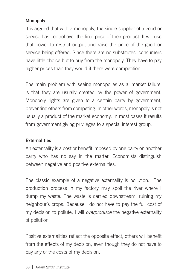#### Monopoly

It is argued that with a monopoly, the single supplier of a good or service has control over the final price of their product. It will use that power to restrict output and raise the price of the good or service being offered. Since there are no substitutes, consumers have little choice but to buy from the monopoly. They have to pay higher prices than they would if there were competition.

The main problem with seeing monopolies as a 'market failure' is that they are usually created by the power of government. Monopoly rights are given to a certain party by government, preventing others from competing. In other words, monopoly is not usually a product of the market economy. In most cases it results from government giving privileges to a special interest group.

#### **Externalities**

An externality is a cost or benefit imposed by one party on another party who has no say in the matter. Economists distinguish between negative and positive externalities.

The classic example of a negative externality is pollution. The production process in my factory may spoil the river where I dump my waste. The waste is carried downstream, ruining my neighbour's crops. Because I do not have to pay the full cost of my decision to pollute, I will *overproduce* the negative externality of pollution.

Positive externalities reflect the opposite effect; others will benefit from the effects of my decision, even though they do not have to pay any of the costs of my decision.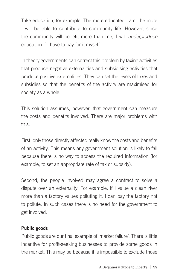Take education, for example. The more educated I am, the more I will be able to contribute to community life. However, since the community will benefit more than me, I will *underproduce*  education if I have to pay for it myself.

In theory governments can correct this problem by taxing activities that produce negative externalities and subsidising activities that produce positive externalities. They can set the levels of taxes and subsidies so that the benefits of the activity are maximised for society as a whole.

This solution assumes, however, that government can measure the costs and benefits involved. There are major problems with this.

First, only those directly affected really know the costs and benefits of an activity. This means any government solution is likely to fail because there is no way to access the required information (for example, to set an appropriate rate of tax or subsidy).

Second, the people involved may agree a contract to solve a dispute over an externality. For example, if I value a clean river more than a factory values polluting it, I can pay the factory not to pollute. In such cases there is no need for the government to get involved.

#### Public goods

Public goods are our final example of 'market failure'. There is little incentive for profit-seeking businesses to provide some goods in the market. This may be because it is impossible to exclude those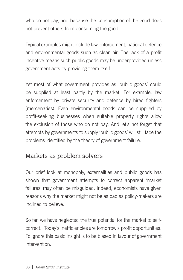who do not pay, and because the consumption of the good does not prevent others from consuming the good.

Typical examples might include law enforcement, national defence and environmental goods such as clean air. The lack of a profit incentive means such public goods may be underprovided unless government acts by providing them itself.

Yet most of what government provides as 'public goods' could be supplied at least partly by the market. For example, law enforcement by private security and defence by hired fighters (mercenaries). Even environmental goods can be supplied by profit-seeking businesses when suitable property rights allow the exclusion of those who do not pay. And let's not forget that attempts by governments to supply 'public goods' will still face the problems identified by the theory of government failure.

# Markets as problem solvers

Our brief look at monopoly, externalities and public goods has shown that government attempts to correct apparent 'market failures' may often be misguided. Indeed, economists have given reasons why the market might not be as bad as policy-makers are inclined to believe.

So far, we have neglected the true potential for the market to selfcorrect. Today's inefficiencies are tomorrow's profit opportunities. To ignore this basic insight is to be biased in favour of government intervention.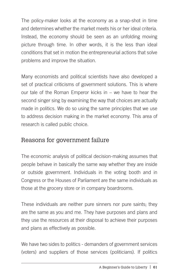The policy-maker looks at the economy as a snap-shot in time and determines whether the market meets his or her ideal criteria. Instead, the economy should be seen as an unfolding moving picture through time. In other words, it is the less than ideal conditions that set in motion the entrepreneurial actions that solve problems and improve the situation.

Many economists and political scientists have also developed a set of practical criticisms of government solutions. This is where our tale of the Roman Emperor kicks in – we have to hear the second singer sing by examining the way that choices are actually made in politics. We do so using the same principles that we use to address decision making in the market economy. This area of research is called public choice.

## Reasons for government failure

The economic analysis of political decision-making assumes that people behave in basically the same way whether they are inside or outside government. Individuals in the voting booth and in Congress or the Houses of Parliament are the same individuals as those at the grocery store or in company boardrooms.

These individuals are neither pure sinners nor pure saints; they are the same as you and me. They have purposes and plans and they use the resources at their disposal to achieve their purposes and plans as effectively as possible.

We have two sides to politics - demanders of government services (voters) and suppliers of those services (politicians). If politics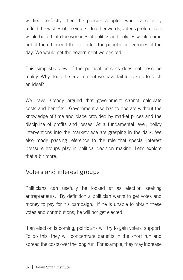worked perfectly, then the policies adopted would accurately reflect the wishes of the voters. In other words, voter's preferences would be fed into the workings of politics and policies would come out of the other end that reflected the popular preferences of the day. We would get the government we desired.

This simplistic view of the political process does not describe reality. Why does the government we have fail to live up to such an ideal?

We have already argued that government cannot calculate costs and benefits. Government also has to operate without the knowledge of time and place provided by market prices and the discipline of profits and losses. At a fundamental level, policy interventions into the marketplace are grasping in the dark. We also made passing reference to the role that special interest pressure groups play in political decision making. Let's explore that a bit more.

## Voters and interest groups

Politicians can usefully be looked at as election seeking entrepreneurs. By definition a politician wants to get votes and money to pay for his campaign. If he is unable to obtain these votes and contributions, he will not get elected.

If an election is coming, politicians will try to gain voters' support. To do this, they will concentrate benefits in the short run and spread the costs over the long run. For example, they may increase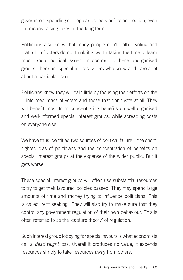government spending on popular projects before an election, even if it means raising taxes in the long term.

Politicians also know that many people don't bother voting and that a lot of voters do not think it is worth taking the time to learn much about political issues. In contrast to these unorganised groups, there are special interest voters who know and care a lot about a particular issue.

Politicians know they will gain little by focusing their efforts on the ill-informed mass of voters and those that don't vote at all. They will benefit most from concentrating benefits on well-organised and well-informed special interest groups, while spreading costs on everyone else.

We have thus identified two sources of political failure – the shortsighted bias of politicians and the concentration of benefits on special interest groups at the expense of the wider public. But it gets worse.

These special interest groups will often use substantial resources to try to get their favoured policies passed. They may spend large amounts of time and money trying to influence politicians. This is called 'rent seeking'. They will also try to make sure that they control any government regulation of their own behaviour. This is often referred to as the 'capture theory' of regulation.

Such interest group lobbying for special favours is what economists call a *deadweight* loss. Overall it produces no value; it expends resources simply to take resources away from others.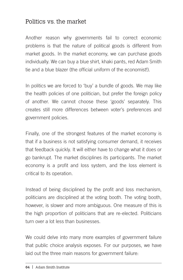## Politics vs. the market

Another reason why governments fail to correct economic problems is that the nature of political goods is different from market goods. In the market economy, we can purchase goods individually. We can buy a blue shirt, khaki pants, red Adam Smith tie and a blue blazer (the official uniform of the economist!).

In politics we are forced to 'buy' a bundle of goods. We may like the health policies of one politician, but prefer the foreign policy of another. We cannot choose these 'goods' separately. This creates still more differences between voter's preferences and government policies.

Finally, one of the strongest features of the market economy is that if a business is not satisfying consumer demand, it receives that feedback quickly. It will either have to change what it does or go bankrupt. The market disciplines its participants. The market economy is a profit and loss system, and the loss element is critical to its operation.

Instead of being disciplined by the profit and loss mechanism, politicians are disciplined at the voting booth. The voting booth, however, is slower and more ambiguous. One measure of this is the high proportion of politicians that are re-elected. Politicians turn over a lot less than businesses.

We could delve into many more examples of government failure that public choice analysis exposes. For our purposes, we have laid out the three main reasons for government failure: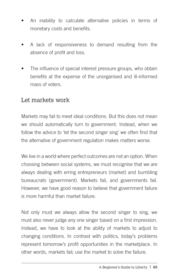- An inability to calculate alternative policies in terms of monetary costs and benefits.
- A lack of responsiveness to demand resulting from the absence of profit and loss.
- The influence of special interest pressure groups, who obtain benefits at the expense of the unorganised and ill-informed mass of voters.

### Let markets work

Markets may fail to meet ideal conditions. But this does not mean we should automatically turn to government. Instead, when we follow the advice to 'let the second singer sing' we often find that the alternative of government regulation makes matters worse.

We live in a world where perfect outcomes are not an option. When choosing between social systems, we must recognise that we are always dealing with erring entrepreneurs (market) and bumbling bureaucrats (government). Markets fail, and governments fail. However, we have good reason to believe that government failure is more harmful than market failure.

Not only must we always allow the second singer to sing, we must also never judge any one singer based on a first impression. Instead, we have to look at the ability of markets to adjust to changing conditions. In contrast with politics, today's problems represent tomorrow's profit opportunities in the marketplace. In other words, markets fail; use the market to solve the failure.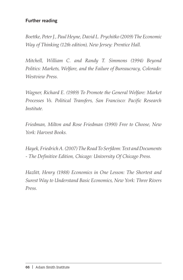#### Further reading

*Boettke, Peter J., Paul Heyne, David L. Prychitko (2009) The Economic Way of Thinking (12th edition), New Jersey: Prentice Hall.*

*Mitchell, William C. and Randy T. Simmons (1994) Beyond Politics: Markets, Welfare, and the Failure of Bureaucracy, Colorado: Westview Press.*

*Wagner, Richard E. (1989) To Promote the General Welfare: Market Processes Vs. Political Transfers, San Francisco: Pacific Research Institute.*

*Friedman, Milton and Rose Friedman (1990) Free to Choose, New York: Harvest Books.*

*Hayek, Friedrich A. (2007) The Road To Serfdom: Text and Documents - The Definitive Edition, Chicago: University Of Chicago Press.*

*Hazlitt, Henry (1988) Economics in One Lesson: The Shortest and Surest Way to Understand Basic Economics, New York: Three Rivers Press.*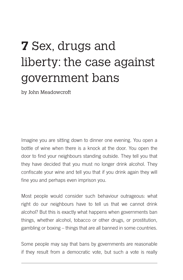# **7** Sex, drugs and liberty: the case against government bans

by John Meadowcroft

Imagine you are sitting down to dinner one evening. You open a bottle of wine when there is a knock at the door. You open the door to find your neighbours standing outside. They tell you that they have decided that you must no longer drink alcohol. They confiscate your wine and tell you that if you drink again they will fine you and perhaps even imprison you.

Most people would consider such behaviour outrageous: what right do our neighbours have to tell us that we cannot drink alcohol? But this is exactly what happens when governments ban things, whether alcohol, tobacco or other drugs, or prostitution, gambling or boxing – things that are all banned in some countries.

Some people may say that bans by governments are reasonable if they result from a democratic vote, but such a vote is really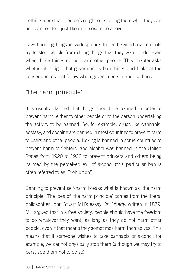nothing more than people's neighbours telling them what they can and cannot do – just like in the example above.

Laws banning things are widespread: all over the world governments try to stop people from doing things that they want to do, even when those things do not harm other people. This chapter asks whether it is right that governments ban things and looks at the consequences that follow when governments introduce bans.

# 'The harm principle'

It is usually claimed that things should be banned in order to prevent harm, either to other people or to the person undertaking the activity to be banned. So, for example, drugs like cannabis, ecstasy, and cocaine are banned in most countries to prevent harm to users and other people. Boxing is banned in some countries to prevent harm to fighters, and alcohol was banned in the United States from 1920 to 1933 to prevent drinkers and others being harmed by the perceived evil of alcohol (this particular ban is often referred to as 'Prohibition').

Banning to prevent self-harm breaks what is known as 'the harm principle'. The idea of 'the harm principle' comes from the liberal philosopher John Stuart Mill's essay *On Liberty*, written in 1859. Mill argued that in a free society, people should have the freedom to do whatever they want, as long as they do not harm other people, even if that means they sometimes harm themselves. This means that if someone wishes to take cannabis or alcohol, for example, we cannot physically stop them (although we may try to persuade them not to do so).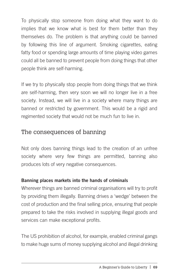To physically stop someone from doing what they want to do implies that we know what is best for them better than they themselves do. The problem is that anything could be banned by following this line of argument. Smoking cigarettes, eating fatty food or spending large amounts of time playing video games could all be banned to prevent people from doing things that other people think are self-harming.

If we try to physically stop people from doing things that we think are self-harming, then very soon we will no longer live in a free society. Instead, we will live in a society where many things are banned or restricted by government. This would be a rigid and regimented society that would not be much fun to live in.

## The consequences of banning

Not only does banning things lead to the creation of an unfree society where very few things are permitted, banning also produces lots of very negative consequences.

#### Banning places markets into the hands of criminals

Wherever things are banned criminal organisations will try to profit by providing them illegally. Banning drives a 'wedge' between the cost of production and the final selling price, ensuring that people prepared to take the risks involved in supplying illegal goods and services can make exceptional profits.

The US prohibition of alcohol, for example, enabled criminal gangs to make huge sums of money supplying alcohol and illegal drinking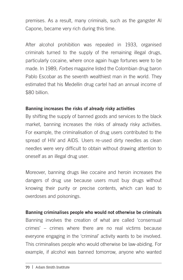premises. As a result, many criminals, such as the gangster Al Capone, became very rich during this time.

After alcohol prohibition was repealed in 1933, organised criminals turned to the supply of the remaining illegal drugs, particularly cocaine, where once again huge fortunes were to be made. In 1989, *Forbes* magazine listed the Colombian drug baron Pablo Escobar as the seventh wealthiest man in the world. They estimated that his Medellin drug cartel had an annual income of \$80 billion.

#### Banning increases the risks of already risky activities

By shifting the supply of banned goods and services to the black market, banning increases the risks of already risky activities. For example, the criminalisation of drug users contributed to the spread of HIV and AIDS. Users re-used dirty needles as clean needles were very difficult to obtain without drawing attention to oneself as an illegal drug user.

Moreover, banning drugs like cocaine and heroin increases the dangers of drug use because users must buy drugs without knowing their purity or precise contents, which can lead to overdoses and poisonings.

#### Banning criminalises people who would not otherwise be criminals

Banning involves the creation of what are called 'consensual crimes' – crimes where there are no real victims because everyone engaging in the 'criminal' activity wants to be involved. This criminalises people who would otherwise be law-abiding. For example, if alcohol was banned tomorrow, anyone who wanted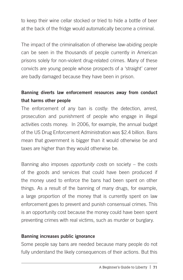to keep their wine cellar stocked or tried to hide a bottle of beer at the back of the fridge would automatically become a criminal.

The impact of the criminalisation of otherwise law-abiding people can be seen in the thousands of people currently in American prisons solely for non-violent drug-related crimes. Many of these convicts are young people whose prospects of a 'straight' career are badly damaged because they have been in prison.

### Banning diverts law enforcement resources away from conduct that harms other people

The enforcement of any ban is costly: the detection, arrest, prosecution and punishment of people who engage in illegal activities costs money. In 2006, for example, the annual budget of the US Drug Enforcement Administration was \$2.4 billion. Bans mean that government is bigger than it would otherwise be and taxes are higher than they would otherwise be.

Banning also imposes *opportunity costs* on society – the costs of the goods and services that could have been produced if the money used to enforce the bans had been spent on other things. As a result of the banning of many drugs, for example, a large proportion of the money that is currently spent on law enforcement goes to prevent and punish consensual crimes. This is an opportunity cost because the money could have been spent preventing crimes with real victims, such as murder or burglary.

#### Banning increases public ignorance

Some people say bans are needed because many people do not fully understand the likely consequences of their actions. But this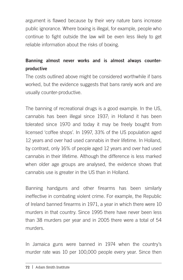argument is flawed because by their very nature bans increase public ignorance. Where boxing is illegal, for example, people who continue to fight outside the law will be even less likely to get reliable information about the risks of boxing.

### Banning almost never works and is almost always counterproductive

The costs outlined above might be considered worthwhile if bans worked, but the evidence suggests that bans rarely work and are usually counter-productive.

The banning of recreational drugs is a good example. In the US, cannabis has been illegal since 1937; in Holland it has been tolerated since 1970 and today it may be freely bought from licensed 'coffee shops'. In 1997, 33% of the US population aged 12 years and over had used cannabis in their lifetime. In Holland, by contrast, only 16% of people aged 12 years and over had used cannabis in their lifetime. Although the difference is less marked when older age groups are analysed, the evidence shows that cannabis use is greater in the US than in Holland.

Banning handguns and other firearms has been similarly ineffective in combating violent crime. For example, the Republic of Ireland banned firearms in 1971, a year in which there were 10 murders in that country. Since 1995 there have never been less than 38 murders per year and in 2005 there were a total of 54 murders.

In Jamaica guns were banned in 1974 when the country's murder rate was 10 per 100,000 people every year. Since then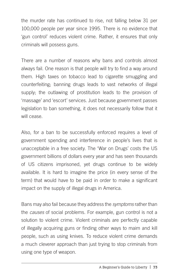the murder rate has continued to rise, not falling below 31 per 100,000 people per year since 1995. There is no evidence that 'gun control' reduces violent crime. Rather, it ensures that only criminals will possess guns.

There are a number of reasons why bans and controls almost always fail. One reason is that people will try to find a way around them. High taxes on tobacco lead to cigarette smuggling and counterfeiting; banning drugs leads to vast networks of illegal supply; the outlawing of prostitution leads to the provision of 'massage' and 'escort' services. Just because government passes legislation to ban something, it does not necessarily follow that it will cease.

Also, for a ban to be successfully enforced requires a level of government spending and interference in people's lives that is unacceptable in a free society. The 'War on Drugs' costs the US government billions of dollars every year and has seen thousands of US citizens imprisoned, yet drugs continue to be widely available. It is hard to imagine the price (in every sense of the term) that would have to be paid in order to make a significant impact on the supply of illegal drugs in America.

Bans may also fail because they address the *symptoms* rather than the *causes* of social problems. For example, gun control is not a solution to violent crime. Violent criminals are perfectly capable of illegally acquiring guns or finding other ways to maim and kill people, such as using knives. To reduce violent crime demands a much cleverer approach than just trying to stop criminals from using one type of weapon.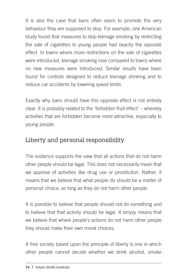It is also the case that bans often seem to promote the very behaviour they are supposed to stop. For example, one American study found that measures to stop teenage smoking by restricting the sale of cigarettes to young people had exactly the opposite effect. In towns where more restrictions on the sale of cigarettes were introduced, teenage smoking rose compared to towns where no new measures were introduced. Similar results have been found for controls designed to reduce teenage drinking and to reduce car accidents by lowering speed limits.

Exactly why bans should have this opposite effect is not entirely clear. It is probably related to the 'forbidden fruit effect' – whereby activities that are forbidden become more attractive, especially to young people.

## Liberty and personal responsibility

The evidence supports the view that all actions that do not harm other people should be legal. This does not necessarily mean that we approve of activities like drug use or prostitution. Rather, it means that we believe that what people do should be a matter of personal choice, as long as they do not harm other people.

It is possible to believe that people should not do something *and* to believe that that activity should be legal. It simply means that we believe that where people's actions do not harm other people they should make their own moral choices.

A free society based upon the principle of liberty is one in which other people cannot decide whether we drink alcohol, smoke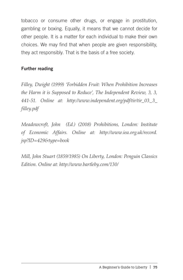tobacco or consume other drugs, or engage in prostitution, gambling or boxing. Equally, it means that we cannot decide for other people. It is a matter for each individual to make their own choices. We may find that when people are given responsibility, they act responsibly. That is the basis of a free society.

#### Further reading

*Filley, Dwight (1999) 'Forbidden Fruit: When Prohibition Increases the Harm it is Supposed to Reduce', The Independent Review, 3, 3, 441-51. Online at: http://www.independent.org/pdf/tir/tir\_03\_3\_ filley.pdf*

*Meadowcroft, John (Ed.) (2008) Prohibitions, London: Institute of Economic Affairs. Online at: http://www.iea.org.uk/record. jsp?ID=429&type=book*

*Mill, John Stuart (1859/1985) On Liberty, London: Penguin Classics Edition. Online at: http://www.bartleby.com/130/*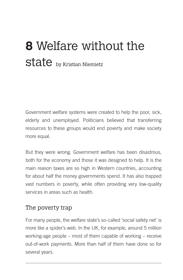# **8** Welfare without the State by Kristian Niemietz

Government welfare systems were created to help the poor, sick, elderly and unemployed. Politicians believed that transferring resources to these groups would end poverty and make society more equal.

But they were wrong. Government welfare has been disastrous, both for the economy and those it was designed to help. It is the main reason taxes are so high in Western countries, accounting for about half the money governments spend. It has also trapped vast numbers in poverty, while often providing very low-quality services in areas such as health.

#### The poverty trap

For many people, the welfare state's so-called 'social safety net' is more like a spider's web. In the UK, for example, around 5 million working-age people – most of them capable of working – receive out-of-work payments. More than half of them have done so for several years.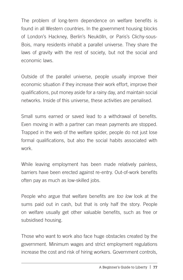The problem of long-term dependence on welfare benefits is found in all Western countries. In the government housing blocks of London's Hackney, Berlin's Neukölln, or Paris's Clichy-sous-Bois, many residents inhabit a parallel universe. They share the laws of gravity with the rest of society, but not the social and economic laws.

Outside of the parallel universe, people usually improve their economic situation if they increase their work effort, improve their qualifications, put money aside for a rainy day, and maintain social networks. Inside of this universe, these activities are penalised.

Small sums earned or saved lead to a withdrawal of benefits. Even moving in with a partner can mean payments are stopped. Trapped in the web of the welfare spider, people do not just lose formal qualifications, but also the social habits associated with work.

While leaving employment has been made relatively painless, barriers have been erected against re-entry. Out-of-work benefits often pay as much as low-skilled jobs.

People who argue that welfare benefits are *too low* look at the sums paid out in cash, but that is only half the story. People on welfare usually get other valuable benefits, such as free or subsidised housing.

Those who want to work also face huge obstacles created by the government. Minimum wages and strict employment regulations increase the cost and risk of hiring workers. Government controls,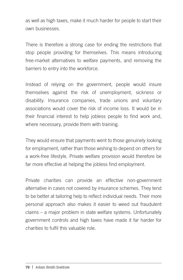as well as high taxes, make it much harder for people to start their own businesses.

There is therefore a strong case for ending the restrictions that stop people providing for themselves. This means introducing free-market alternatives to welfare payments, and removing the barriers to entry into the workforce.

Instead of relying on the government, people would insure themselves against the risk of unemployment, sickness or disability. Insurance companies, trade unions and voluntary associations would cover the risk of income loss. It would be in their financial interest to help jobless people to find work and, where necessary, provide them with training.

They would ensure that payments went to those genuinely looking for employment, rather than those wishing to depend on others for a work-free lifestyle. Private welfare provision would therefore be far more effective at helping the jobless find employment.

Private charities can provide an effective non-government alternative in cases not covered by insurance schemes. They tend to be better at tailoring help to reflect individual needs. Their more personal approach also makes it easier to weed out fraudulent claims – a major problem in state welfare systems. Unfortunately government controls and high taxes have made it far harder for charities to fulfil this valuable role.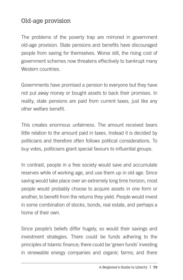#### Old-age provision

The problems of the poverty trap are mirrored in government old-age provision. State pensions and benefits have discouraged people from saving for themselves. Worse still, the rising cost of government schemes now threatens effectively to bankrupt many Western countries

Governments have promised a pension to everyone but they have not put away money or bought assets to back their promises. In reality, state pensions are paid from current taxes, just like any other welfare benefit.

This creates enormous unfairness. The amount received bears little relation to the amount paid in taxes. Instead it is decided by politicians and therefore often follows political considerations. To buy votes, politicians grant special favours to influential groups.

In contrast, people in a free society would save and accumulate reserves while of working age, and use them up in old age. Since saving would take place over an extremely long time horizon, most people would probably choose to acquire assets in one form or another, to benefit from the returns they yield. People would invest in some combination of stocks, bonds, real estate, and perhaps a home of their own.

Since people's beliefs differ hugely, so would their savings and investment strategies. There could be funds adhering to the principles of Islamic finance; there could be 'green funds' investing in renewable energy companies and organic farms; and there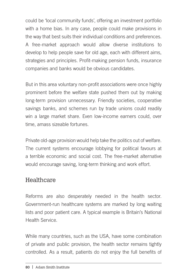could be 'local community funds', offering an investment portfolio with a home bias. In any case, people could make provisions in the way that best suits their individual conditions and preferences. A free-market approach would allow diverse institutions to develop to help people save for old age, each with different aims, strategies and principles. Profit-making pension funds, insurance companies and banks would be obvious candidates.

But in this area voluntary non-profit associations were once highly prominent before the welfare state pushed them out by making long-term provision unnecessary. Friendly societies, cooperative savings banks, and schemes run by trade unions could readily win a large market share. Even low-income earners could, over time, amass sizeable fortunes.

Private old-age provision would help take the politics out of welfare. The current systems encourage lobbying for political favours at a terrible economic and social cost. The free-market alternative would encourage saving, long-term thinking and work effort.

#### **Healthcare**

Reforms are also desperately needed in the health sector. Government-run healthcare systems are marked by long waiting lists and poor patient care. A typical example is Britain's National Health Service.

While many countries, such as the USA, have some combination of private and public provision, the health sector remains tightly controlled. As a result, patients do not enjoy the full benefits of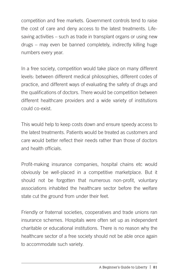competition and free markets. Government controls tend to raise the cost of care and deny access to the latest treatments. Lifesaving activities – such as trade in transplant organs or using new drugs – may even be banned completely, indirectly killing huge numbers every year.

In a free society, competition would take place on many different levels: between different medical philosophies, different codes of practice, and different ways of evaluating the safety of drugs and the qualifications of doctors. There would be competition between different healthcare providers and a wide variety of institutions could co-exist.

This would help to keep costs down and ensure speedy access to the latest treatments. Patients would be treated as customers and care would better reflect their needs rather than those of doctors and health officials.

Profit-making insurance companies, hospital chains etc would obviously be well-placed in a competitive marketplace. But it should not be forgotten that numerous non-profit, voluntary associations inhabited the healthcare sector before the welfare state cut the ground from under their feet.

Friendly or fraternal societies, cooperatives and trade unions ran insurance schemes. Hospitals were often set up as independent charitable or educational institutions. There is no reason why the healthcare sector of a free society should not be able once again to accommodate such variety.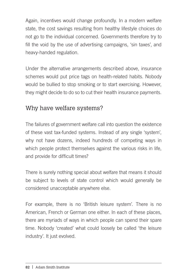Again, incentives would change profoundly. In a modern welfare state, the cost savings resulting from healthy lifestyle choices do not go to the individual concerned. Governments therefore try to fill the void by the use of advertising campaigns, 'sin taxes', and heavy-handed regulation.

Under the alternative arrangements described above, insurance schemes would put price tags on health-related habits. Nobody would be bullied to stop smoking or to start exercising. However, they might decide to do so to cut their health insurance payments.

### Why have welfare systems?

The failures of government welfare call into question the existence of these vast tax-funded systems. Instead of any single 'system', why not have dozens, indeed hundreds of competing ways in which people protect themselves against the various risks in life, and provide for difficult times?

There is surely nothing special about welfare that means it should be subject to levels of state control which would generally be considered unacceptable anywhere else.

For example, there is no 'British leisure system'. There is no American, French or German one either. In each of these places, there are myriads of ways in which people can spend their spare time. Nobody 'created' what could loosely be called 'the leisure industry'. It just evolved.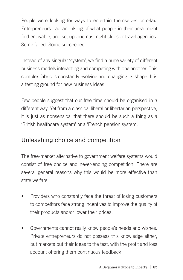People were looking for ways to entertain themselves or relax. Entrepreneurs had an inkling of what people in their area might find enjoyable, and set up cinemas, night clubs or travel agencies. Some failed. Some succeeded.

Instead of any singular 'system', we find a huge variety of different business models interacting and competing with one another. This complex fabric is constantly evolving and changing its shape. It is a testing ground for new business ideas.

Few people suggest that our free-time should be organised in a different way. Yet from a classical liberal or libertarian perspective, it is just as nonsensical that there should be such a thing as a 'British healthcare system' or a 'French pension system'.

## Unleashing choice and competition

The free-market alternative to government welfare systems would consist of free choice and never-ending competition. There are several general reasons why this would be more effective than state welfare:

- Providers who constantly face the threat of losing customers to competitors face strong incentives to improve the quality of their products and/or lower their prices.
- Governments cannot really know people's needs and wishes. Private entrepreneurs do not possess this knowledge either, but markets put their ideas to the test, with the profit and loss account offering them continuous feedback.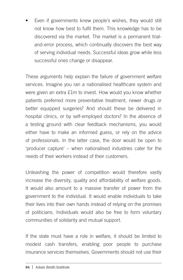Even if governments knew people's wishes, they would still not know how best to fulfil them. This knowledge has to be discovered via the market. The market is a permanent trialand-error process, which continually discovers the best way of serving individual needs. Successful ideas grow while less successful ones change or disappear.

These arguments help explain the failure of government welfare services. Imagine you ran a nationalised healthcare system and were given an extra £1m to invest. How would you know whether patients preferred more preventative treatment, newer drugs or better equipped surgeries? And should these be delivered in hospital clinics, or by self-employed doctors? In the absence of a testing ground with clear feedback mechanisms, you would either have to make an informed guess, or rely on the advice of professionals. In the latter case, the door would be open to 'producer capture' – when nationalised industries cater for the needs of their workers instead of their customers.

Unleashing the power of competition would therefore vastly increase the diversity, quality and affordability of welfare goods. It would also amount to a massive transfer of power from the government to the individual. It would enable individuals to take their lives into their own hands instead of relying on the promises of politicians. Individuals would also be free to form voluntary communities of solidarity and mutual support.

If the state must have a role in welfare, it should be limited to modest cash transfers, enabling poor people to purchase insurance services themselves. Governments should not use their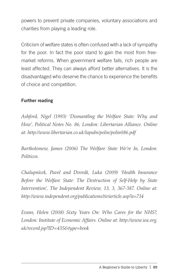powers to prevent private companies, voluntary associations and charities from playing a leading role.

Criticism of welfare states is often confused with a lack of sympathy for the poor. In fact the poor stand to gain the most from freemarket reforms. When government welfare fails, rich people are least affected. They can always afford better alternatives. It is the disadvantaged who deserve the chance to experience the benefits of choice and competition.

#### Further reading

*Ashford, Nigel (1993) 'Dismantling the Welfare State: Why and How', Political Notes No. 86, London: Libertarian Alliance. Online at: http://www.libertarian.co.uk/lapubs/polin/polin086.pdf*

*Bartholomew, James (2006) The Welfare State We're In, London: Politicos.*

*Chalupnícek, Pavel and Dvorák, Luka (2009) 'Health Insurance Before the Welfare State: The Destruction of Self-Help by State Intervention', The Independent Review, 13, 3, 367-387. Online at: http://www.independent.org/publications/tir/article.asp?a=714*

*Evans, Helen (2008) Sixty Years On: Who Cares for the NHS?, London: Institute of Economic Affairs. Online at: http://www.iea.org. uk/record.jsp?ID=435&type=book*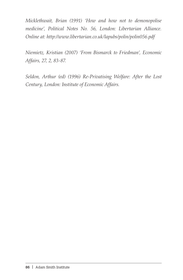*Micklethwait, Brian (1991) 'How and how not to demonopolise medicine', Political Notes No. 56, London: Libertarian Alliance. Online at: http://www.libertarian.co.uk/lapubs/polin/polin056.pdf*

*Niemietz, Kristian (2007) 'From Bismarck to Friedman', Economic Affairs, 27, 2, 83-87.*

*Seldon, Arthur (ed) (1996) Re-Privatising Welfare: After the Lost Century, London: Institute of Economic Affairs.*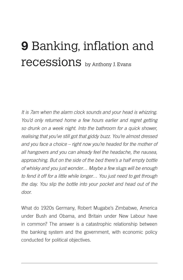## **9** Banking, inflation and recessions by Anthony J. Evans

*It is 7am when the alarm clock sounds and your head is whizzing. You'd only returned home a few hours earlier and regret getting so drunk on a week night. Into the bathroom for a quick shower, realising that you've still got that giddy buzz. You're almost dressed and you face a choice – right now you're headed for the mother of all hangovers and you can already feel the headache, the nausea, approaching. But on the side of the bed there's a half empty bottle of whisky and you just wonder… Maybe a few slugs will be enough to fend it off for a little while longer… You just need to get through the day. You slip the bottle into your pocket and head out of the door.*

What do 1920s Germany, Robert Mugabe's Zimbabwe, America under Bush and Obama, and Britain under New Labour have in common? The answer is a catastrophic relationship between the banking system and the government, with economic policy conducted for political objectives.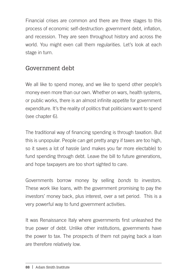Financial crises are common and there are three stages to this process of economic self-destruction: government debt, inflation, and recession. They are seen throughout history and across the world. You might even call them regularities. Let's look at each stage in turn.

#### Government debt

We all like to spend money, and we like to spend other people's money even more than our own. Whether on wars, health systems, or public works, there is an almost infinite appetite for government expenditure. It's the reality of politics that politicians want to spend (see chapter 6).

The traditional way of financing spending is through taxation. But this is unpopular. People can get pretty angry if taxes are too high, so it saves a lot of hassle (and makes you far more electable) to fund spending through debt. Leave the bill to future generations, and hope taxpayers are too short sighted to care.

Governments borrow money by selling *bonds* to investors. These work like loans, with the government promising to pay the investors' money back, plus interest, over a set period. This is a very powerful way to fund government activities.

It was Renaissance Italy where governments first unleashed the true power of debt. Unlike other institutions, governments have the power to tax. The prospects of them not paying back a loan are therefore relatively low.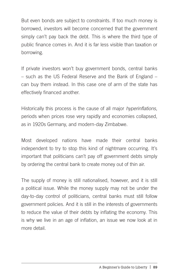But even bonds are subject to constraints. If too much money is borrowed, investors will become concerned that the government simply can't pay back the debt. This is where the third type of public finance comes in. And it is far less visible than taxation or borrowing.

If private investors won't buy government bonds, central banks – such as the US Federal Reserve and the Bank of England – can buy them instead. In this case one of arm of the state has effectively financed another.

Historically this process is the cause of all major *hyperinflations*, periods when prices rose very rapidly and economies collapsed, as in 1920s Germany, and modern-day Zimbabwe.

Most developed nations have made their central banks independent to try to stop this kind of nightmare occurring. It's important that politicians can't pay off government debts simply by ordering the central bank to create money out of thin air.

The supply of money is still nationalised, however, and it is still a political issue. While the money supply may not be under the day-to-day control of politicians, central banks must still follow government policies. And it is still in the interests of governments to reduce the value of their debts by inflating the economy. This is why we live in an age of inflation, an issue we now look at in more detail.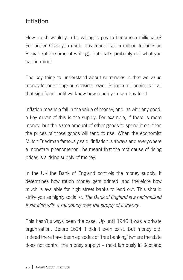## Inflation

How much would you be willing to pay to become a millionaire? For under £100 you could buy more than a million Indonesian Rupiah (at the time of writing), but that's probably not what you had in mind!

The key thing to understand about currencies is that we value money for one thing: purchasing power. Being a millionaire isn't all that significant until we know how much you can buy for it.

Inflation means a fall in the value of money, and, as with any good, a key driver of this is the supply. For example, if there is more money, but the same amount of other goods to spend it on, then the prices of those goods will tend to rise. When the economist Milton Friedman famously said, 'inflation is always and everywhere a monetary phenomenon', he meant that the root cause of rising prices is a rising supply of money.

In the UK the Bank of England controls the money supply. It determines how much money gets printed, and therefore how much is available for high street banks to lend out. This should strike you as highly socialist: *The Bank of England is a nationalised institution with a monopoly over the supply of currency.* 

This hasn't always been the case. Up until 1946 it was a private organisation. Before 1694 it didn't even exist. But money did. Indeed there have been episodes of 'free banking' (where the state does not control the money supply) – most famously in Scotland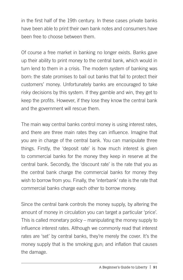in the first half of the 19th century. In these cases private banks have been able to print their own bank notes and consumers have been free to choose between them.

Of course a free market in banking no longer exists. Banks gave up their ability to print money to the central bank, which would in turn lend to them in a crisis. The modern system of banking was born: the state promises to bail out banks that fail to protect their customers' money. Unfortunately banks are encouraged to take risky decisions by this system. If they gamble and win, they get to keep the profits. However, if they lose they know the central bank and the government will rescue them.

The main way central banks control money is using interest rates, and there are three main rates they can influence. Imagine that you are in charge of the central bank. You can manipulate three things. Firstly, the 'deposit rate' is how much interest is given to commercial banks for the money they keep in reserve at the central bank. Secondly, the 'discount rate' is the rate that you as the central bank charge the commercial banks for money they wish to borrow from you. Finally, the 'interbank' rate is the rate that commercial banks charge each other to borrow money.

Since the central bank controls the money supply, by altering the amount of money in circulation you can target a particular 'price'. This is called monetary policy – manipulating the money supply to influence interest rates. Although we commonly read that interest rates are 'set' by central banks, they're merely the cover. It's the money supply that is the smoking gun; and inflation that causes the damage.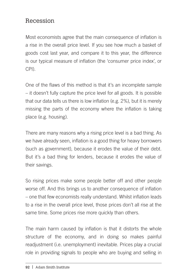#### Recession

Most economists agree that the main consequence of inflation is a rise in the overall price level. If you see how much a basket of goods cost last year, and compare it to this year, the difference is our typical measure of inflation (the 'consumer price index', or CPI).

One of the flaws of this method is that it's an incomplete sample – it doesn't fully capture the price level for all goods. It is possible that our data tells us there is low inflation (e.g. 2%), but it is merely missing the parts of the economy where the inflation is taking place (e.g. housing).

There are many reasons why a rising price level is a bad thing. As we have already seen, inflation is a good thing for heavy borrowers (such as government), because it erodes the value of their debt. But it's a bad thing for lenders, because it erodes the value of their savings.

So rising prices make some people better off and other people worse off. And this brings us to another consequence of inflation – one that few economists really understand. Whilst inflation leads to a rise in the overall price level, those prices don't all rise at the same time. Some prices rise more quickly than others.

The main harm caused by inflation is that it distorts the whole structure of the economy, and in doing so makes painful readjustment (i.e. unemployment) inevitable. Prices play a crucial role in providing signals to people who are buying and selling in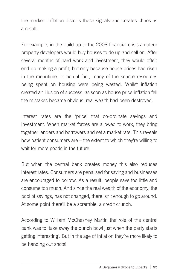the market. Inflation distorts these signals and creates chaos as a result.

For example, in the build up to the 2008 financial crisis amateur property developers would buy houses to do up and sell on. After several months of hard work and investment, they would often end up making a profit, but only because house prices had risen in the meantime. In actual fact, many of the scarce resources being spent on housing were being wasted. Whilst inflation created an illusion of success, as soon as house price inflation fell the mistakes became obvious: real wealth had been destroyed.

Interest rates are the 'price' that co-ordinate savings and investment. When market forces are allowed to work, they bring together lenders and borrowers and set a market rate. This reveals how patient consumers are – the extent to which they're willing to wait for more goods in the future.

But when the central bank creates money this also reduces interest rates. Consumers are penalised for saving and businesses are encouraged to borrow. As a result, people save too little and consume too much. And since the real wealth of the economy, the pool of savings, has not changed, there isn't enough to go around. At some point there'll be a scramble, a credit crunch.

According to William McChesney Martin the role of the central bank was to 'take away the punch bowl just when the party starts getting interesting'. But in the age of inflation they're more likely to be handing out shots!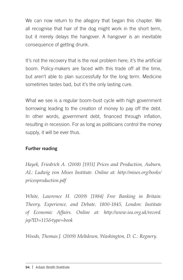We can now return to the allegory that began this chapter. We all recognise that hair of the dog might work in the short term, but it merely delays the hangover. A hangover is an inevitable consequence of getting drunk.

It's not the recovery that is the real problem here; it's the artificial boom. Policy-makers are faced with this trade off all the time, but aren't able to plan successfully for the long term. Medicine sometimes tastes bad, but it's the only lasting cure.

What we see is a regular boom-bust cycle with high government borrowing leading to the creation of money to pay off the debt. In other words, government debt, financed through inflation, resulting in recession. For as long as politicians control the money supply, it will be ever thus.

#### Further reading

*Hayek, Friedrich A. (2008) [1931] Prices and Production, Auburn, AL: Ludwig von Mises Institute. Online at: http://mises.org/books/ pricesproduction.pdf*

*White, Lawrence H. (2009) [1984] Free Banking in Britain: Theory, Experience, and Debate, 1800-1845, London: Institute of Economic Affairs. Online at: http://www.iea.org.uk/record. jsp?ID=115&type=book*

*Woods, Thomas J. (2009) Meltdown, Washington, D. C.: Regnery.*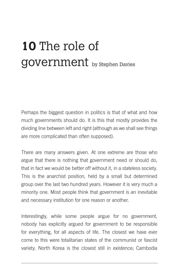# **10** The role of government by Stephen Davies

Perhaps the biggest question in politics is that of what and how much governments should do. It is this that mostly provides the dividing line between left and right (although as we shall see things are more complicated than often supposed).

There are many answers given. At one extreme are those who argue that there is nothing that government need or should do, that in fact we would be better off without it, in a stateless society. This is the anarchist position, held by a small but determined group over the last two hundred years. However it is very much a minority one. Most people think that government is an inevitable and necessary institution for one reason or another.

Interestingly, while some people argue for no government, nobody has explicitly argued for government to be responsible for everything, for all aspects of life. The closest we have ever come to this were totalitarian states of the communist or fascist variety. North Korea is the closest still in existence; Cambodia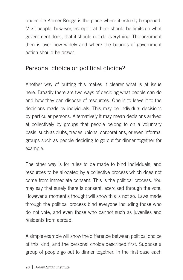under the Khmer Rouge is the place where it actually happened. Most people, however, accept that there should be limits on what government does, that it should not do everything. The argument then is over how widely and where the bounds of government action should be drawn.

### Personal choice or political choice?

Another way of putting this makes it clearer what is at issue here. Broadly there are two ways of deciding what people can do and how they can dispose of resources. One is to leave it to the decisions made by individuals. This may be individual decisions by particular persons. Alternatively it may mean decisions arrived at collectively by groups that people belong to on a voluntary basis, such as clubs, trades unions, corporations, or even informal groups such as people deciding to go out for dinner together for example.

The other way is for rules to be made to bind individuals, and resources to be allocated by a collective process which does not come from immediate consent. This is the political process. You may say that surely there is consent, exercised through the vote. However a moment's thought will show this is not so. Laws made through the political process bind everyone including those who do not vote, and even those who cannot such as juveniles and residents from abroad.

A simple example will show the difference between political choice of this kind, and the personal choice described first. Suppose a group of people go out to dinner together. In the first case each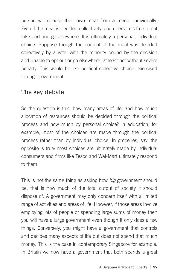person will choose their own meal from a menu, individually. Even if the meal is decided collectively, each person is free to not take part and go elsewhere. It is ultimately a personal, individual choice. Suppose though the content of the meal was decided collectively by a vote, with the minority bound by the decision and unable to opt out or go elsewhere, at least not without severe penalty. This would be like political collective choice, exercised through government.

#### The key debate

So the question is this: how many areas of life, and how much allocation of resources should be decided through the political process and how much by personal choice? In education, for example, most of the choices are made through the political process rather than by individual choice. In groceries, say, the opposite is true: most choices are ultimately made by individual consumers and firms like Tesco and Wal-Mart ultimately respond to them.

This is not the same thing as asking how *big* government should be, that is how much of the total output of society it should dispose of. A government may only concern itself with a limited range of activities and areas of life. However, if those areas involve employing lots of people or spending large sums of money then you will have a large government even though it only does a few things. Conversely, you might have a government that controls and decides many aspects of life but does not spend that much money. This is the case in contemporary Singapore for example. In Britain we now have a government that both spends a great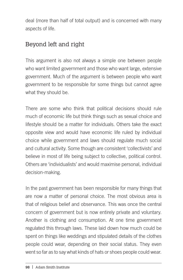deal (more than half of total output) and is concerned with many aspects of life.

## Beyond left and right

This argument is also not always a simple one between people who want limited government and those who want large, extensive government. Much of the argument is between people who want government to be responsible for some things but cannot agree what they should be.

There are some who think that political decisions should rule much of economic life but think things such as sexual choice and lifestyle should be a matter for individuals. Others take the exact opposite view and would have economic life ruled by individual choice while government and laws should regulate much social and cultural activity. Some though are consistent 'collectivists' and believe in most of life being subject to collective, political control. Others are 'individualists' and would maximise personal, individual decision-making.

In the past government has been responsible for many things that are now a matter of personal choice. The most obvious area is that of religious belief and observance. This was once the central concern of government but is now entirely private and voluntary. Another is clothing and consumption. At one time government regulated this through laws. These laid down how much could be spent on things like weddings and stipulated details of the clothes people could wear, depending on their social status. They even went so far as to say what kinds of hats or shoes people could wear.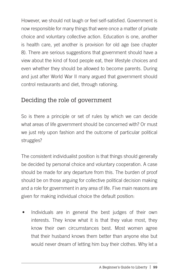However, we should not laugh or feel self-satisfied. Government is now responsible for many things that were once a matter of private choice and voluntary collective action. Education is one, another is health care, yet another is provision for old age (see chapter 8). There are serious suggestions that government should have a view about the kind of food people eat, their lifestyle choices and even whether they should be allowed to become parents. During and just after World War II many argued that government should control restaurants and diet, through rationing.

#### Deciding the role of government

So is there a principle or set of rules by which we can decide what areas of life government should be concerned with? Or must we just rely upon fashion and the outcome of particular political struggles?

The consistent individualist position is that things should generally be decided by personal choice and voluntary cooperation. A case should be made for any departure from this. The burden of proof should be on those arguing for collective political decision making and a role for government in any area of life. Five main reasons are given for making individual choice the default position:

Individuals are in general the best judges of their own interests. They know what it is that they value most, they know their own circumstances best. Most women agree that their husband knows them better than anyone else but would never dream of letting him buy their clothes. Why let a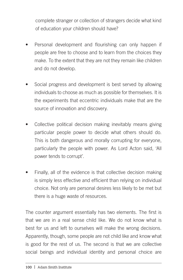complete stranger or collection of strangers decide what kind of education your children should have?

- Personal development and flourishing can only happen if people are free to choose and to learn from the choices they make. To the extent that they are not they remain like children and do not develop.
- Social progress and development is best served by allowing individuals to choose as much as possible for themselves. It is the experiments that eccentric individuals make that are the source of innovation and discovery.
- Collective political decision making inevitably means giving particular people power to decide what others should do. This is both dangerous and morally corrupting for everyone, particularly the people with power. As Lord Acton said, 'All power tends to corrupt'.
- Finally, all of the evidence is that collective decision making is simply less effective and efficient than relying on individual choice. Not only are personal desires less likely to be met but there is a huge waste of resources.

The counter argument essentially has two elements. The first is that we are in a real sense child like. We do not know what is best for us and left to ourselves will make the wrong decisions. Apparently, though, some people are not child like and know what is good for the rest of us. The second is that we are collective social beings and individual identity and personal choice are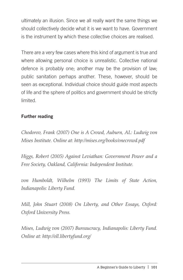ultimately an illusion. Since we all really want the same things we should collectively decide what it is we want to have. Government is the instrument by which these collective choices are realised.

There are a very few cases where this kind of argument is true and where allowing personal choice is unrealistic. Collective national defence is probably one; another may be the provision of law; public sanitation perhaps another. These, however, should be seen as exceptional. Individual choice should guide most aspects of life and the sphere of politics and government should be strictly limited.

#### Further reading

*Chodorov, Frank (2007) One is A Crowd, Auburn, AL: Ludwig von Mises Institute. Online at: http://mises.org/books/onecrowd.pdf*

*Higgs, Robert (2005) Against Leviathan: Government Power and a Free Society, Oakland, California: Independent Institute.*

*von Humboldt, Wilhelm (1993) The Limits of State Action, Indianapolis: Liberty Fund.*

*Mill, John Stuart (2008) On Liberty, and Other Essays, Oxford: Oxford University Press.*

*Mises, Ludwig von (2007) Bureaucracy, Indianapolis: Liberty Fund. Online at: http://oll.libertyfund.org/*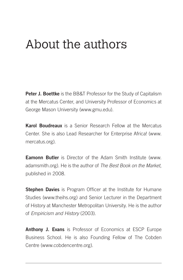## About the authors

Peter J. Boettke is the BB&T Professor for the Study of Capitalism at the Mercatus Center, and University Professor of Economics at George Mason University (www.gmu.edu).

Karol Boudreaux is a Senior Research Fellow at the Mercatus Center. She is also Lead Researcher for Enterprise Africa! (www. mercatus.org).

**Eamonn Butler** is Director of the Adam Smith Institute (www. adamsmith.org). He is the author of *The Best Book on the Market*, published in 2008.

Stephen Davies is Program Officer at the Institute for Humane Studies (www.theihs.org) and Senior Lecturer in the Department of History at Manchester Metropolitan University. He is the author of *Empiricism and History* (2003).

Anthony J. Evans is Professor of Economics at ESCP Europe Business School. He is also Founding Fellow of The Cobden Centre (www.cobdencentre.org).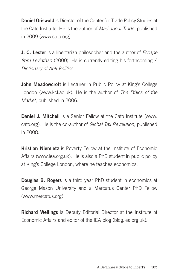**Daniel Griswold** is Director of the Center for Trade Policy Studies at the Cato Institute. He is the author of *Mad about Trade*, published in 2009 (www.cato.org).

J. C. Lester is a libertarian philosopher and the author of *Escape from Leviathan* (2000). He is currently editing his forthcoming *A Dictionary of Anti-Politics*.

John Meadowcroft is Lecturer in Public Policy at King's College London (www.kcl.ac.uk). He is the author of *The Ethics of the Market*, published in 2006.

Daniel J. Mitchell is a Senior Fellow at the Cato Institute (www. cato.org). He is the co-author of *Global Tax Revolution*, published in 2008.

Kristian Niemietz is Poverty Fellow at the Institute of Economic Affairs (www.iea.org.uk). He is also a PhD student in public policy at King's College London, where he teaches economics.

**Douglas B. Rogers** is a third year PhD student in economics at George Mason University and a Mercatus Center PhD Fellow (www.mercatus.org).

Richard Wellings is Deputy Editorial Director at the Institute of Economic Affairs and editor of the IEA blog (blog.iea.org.uk).